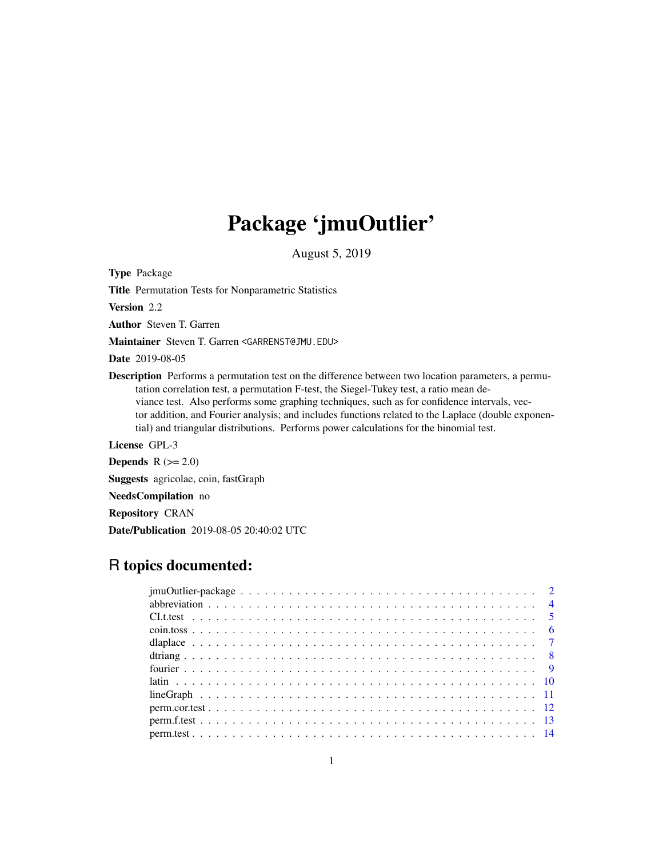# Package 'jmuOutlier'

August 5, 2019

<span id="page-0-0"></span>Type Package

Title Permutation Tests for Nonparametric Statistics

Version 2.2

Author Steven T. Garren

Maintainer Steven T. Garren <GARRENST@JMU.EDU>

Date 2019-08-05

Description Performs a permutation test on the difference between two location parameters, a permutation correlation test, a permutation F-test, the Siegel-Tukey test, a ratio mean deviance test. Also performs some graphing techniques, such as for confidence intervals, vector addition, and Fourier analysis; and includes functions related to the Laplace (double exponential) and triangular distributions. Performs power calculations for the binomial test.

License GPL-3

Depends  $R (= 2.0)$ 

Suggests agricolae, coin, fastGraph

NeedsCompilation no

Repository CRAN

Date/Publication 2019-08-05 20:40:02 UTC

# R topics documented: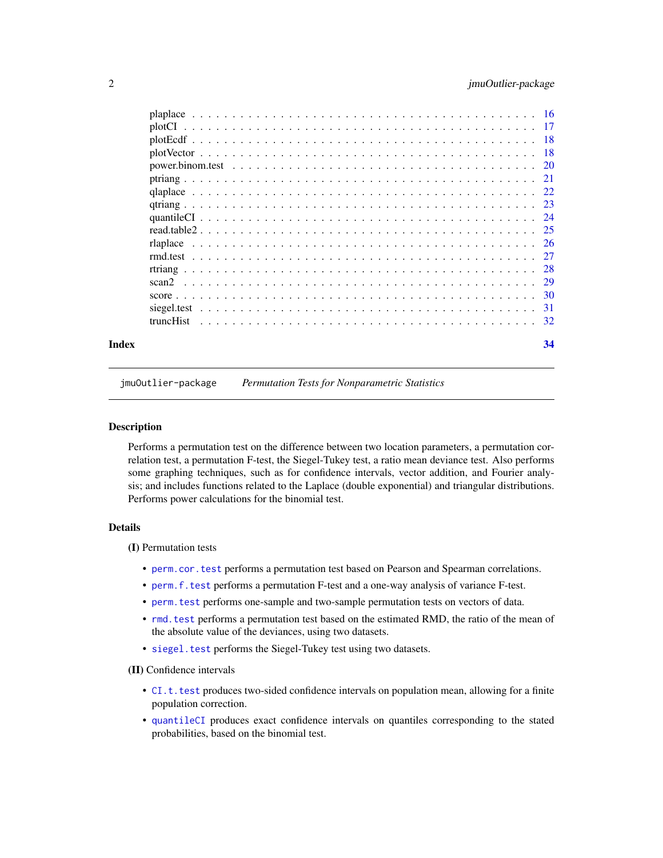<span id="page-1-0"></span>

jmuOutlier-package *Permutation Tests for Nonparametric Statistics*

#### Description

Performs a permutation test on the difference between two location parameters, a permutation correlation test, a permutation F-test, the Siegel-Tukey test, a ratio mean deviance test. Also performs some graphing techniques, such as for confidence intervals, vector addition, and Fourier analysis; and includes functions related to the Laplace (double exponential) and triangular distributions. Performs power calculations for the binomial test.

## **Details**

(I) Permutation tests

- [perm.cor.test](#page-11-1) performs a permutation test based on Pearson and Spearman correlations.
- [perm.f.test](#page-12-1) performs a permutation F-test and a one-way analysis of variance F-test.
- [perm.test](#page-13-1) performs one-sample and two-sample permutation tests on vectors of data.
- [rmd.test](#page-26-1) performs a permutation test based on the estimated RMD, the ratio of the mean of the absolute value of the deviances, using two datasets.
- [siegel.test](#page-30-1) performs the Siegel-Tukey test using two datasets.

(II) Confidence intervals

- [CI.t.test](#page-4-1) produces two-sided confidence intervals on population mean, allowing for a finite population correction.
- [quantileCI](#page-23-1) produces exact confidence intervals on quantiles corresponding to the stated probabilities, based on the binomial test.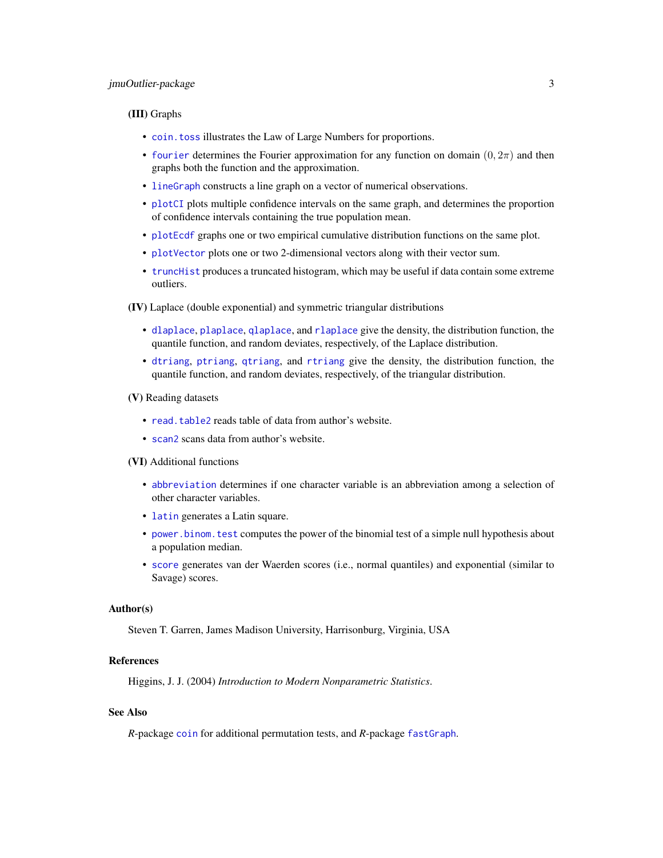#### <span id="page-2-0"></span>(III) Graphs

- [coin.toss](#page-5-1) illustrates the Law of Large Numbers for proportions.
- [fourier](#page-8-1) determines the Fourier approximation for any function on domain  $(0, 2\pi)$  and then graphs both the function and the approximation.
- [lineGraph](#page-10-1) constructs a line graph on a vector of numerical observations.
- [plotCI](#page-16-1) plots multiple confidence intervals on the same graph, and determines the proportion of confidence intervals containing the true population mean.
- [plotEcdf](#page-17-1) graphs one or two empirical cumulative distribution functions on the same plot.
- [plotVector](#page-17-2) plots one or two 2-dimensional vectors along with their vector sum.
- [truncHist](#page-31-1) produces a truncated histogram, which may be useful if data contain some extreme outliers.

(IV) Laplace (double exponential) and symmetric triangular distributions

- [dlaplace](#page-6-1), [plaplace](#page-15-1), [qlaplace](#page-21-1), and [rlaplace](#page-25-1) give the density, the distribution function, the quantile function, and random deviates, respectively, of the Laplace distribution.
- [dtriang](#page-7-1), [ptriang](#page-20-1), [qtriang](#page-22-1), and [rtriang](#page-27-1) give the density, the distribution function, the quantile function, and random deviates, respectively, of the triangular distribution.

#### (V) Reading datasets

- [read.table2](#page-24-1) reads table of data from author's website.
- [scan2](#page-28-1) scans data from author's website.

#### (VI) Additional functions

- [abbreviation](#page-3-1) determines if one character variable is an abbreviation among a selection of other character variables.
- [latin](#page-9-1) generates a Latin square.
- [power.binom.test](#page-19-1) computes the power of the binomial test of a simple null hypothesis about a population median.
- [score](#page-29-1) generates van der Waerden scores (i.e., normal quantiles) and exponential (similar to Savage) scores.

#### Author(s)

Steven T. Garren, James Madison University, Harrisonburg, Virginia, USA

#### References

Higgins, J. J. (2004) *Introduction to Modern Nonparametric Statistics*.

#### See Also

*R*-package [coin](#page-0-0) for additional permutation tests, and *R*-package [fastGraph](#page-0-0).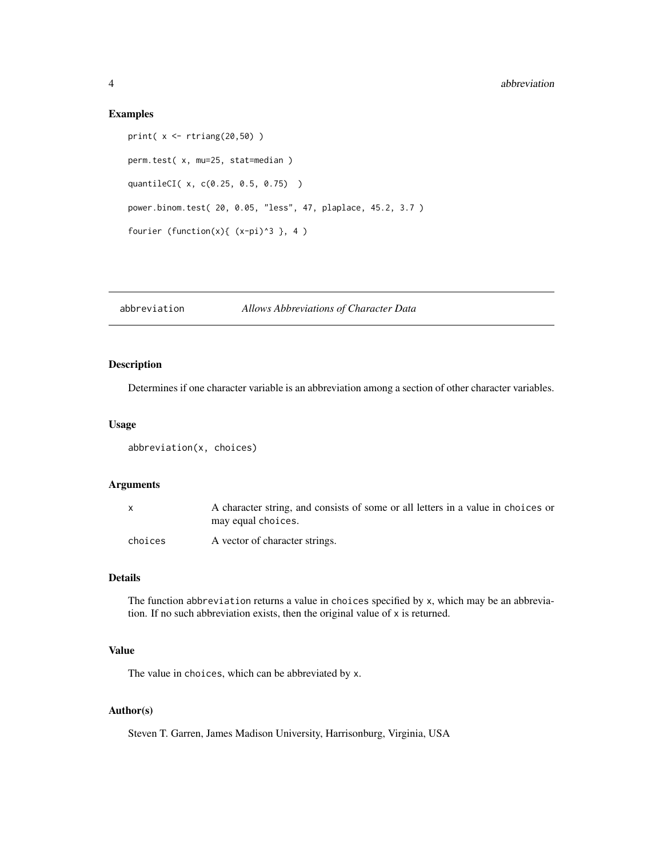# Examples

```
print( x <- rtriang(20,50) )
perm.test( x, mu=25, stat=median )
quantileCI( x, c(0.25, 0.5, 0.75) )
power.binom.test( 20, 0.05, "less", 47, plaplace, 45.2, 3.7 )
fourier (function(x){ (x-pi)^3 }, 4 )
```
<span id="page-3-1"></span>abbreviation *Allows Abbreviations of Character Data*

# Description

Determines if one character variable is an abbreviation among a section of other character variables.

# Usage

```
abbreviation(x, choices)
```
# Arguments

|         | A character string, and consists of some or all letters in a value in choices or<br>may equal choices. |
|---------|--------------------------------------------------------------------------------------------------------|
| choices | A vector of character strings.                                                                         |

# Details

The function abbreviation returns a value in choices specified by x, which may be an abbreviation. If no such abbreviation exists, then the original value of x is returned.

# Value

The value in choices, which can be abbreviated by x.

# Author(s)

Steven T. Garren, James Madison University, Harrisonburg, Virginia, USA

<span id="page-3-0"></span>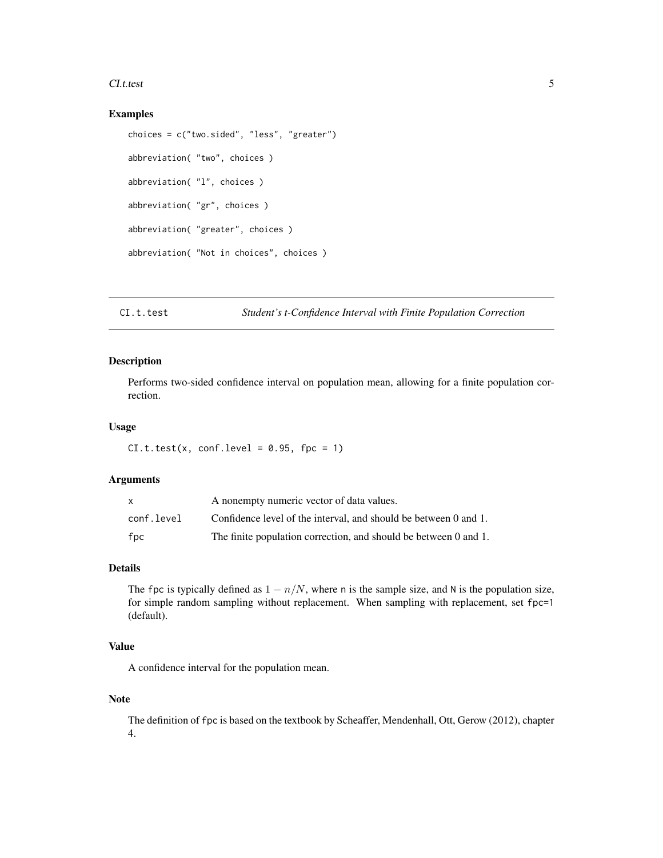#### <span id="page-4-0"></span>CI.t.test 5

#### Examples

```
choices = c("two.sided", "less", "greater")
abbreviation( "two", choices )
abbreviation( "l", choices )
abbreviation( "gr", choices )
abbreviation( "greater", choices )
abbreviation( "Not in choices", choices )
```
#### <span id="page-4-1"></span>CI.t.test *Student's t-Confidence Interval with Finite Population Correction*

#### Description

Performs two-sided confidence interval on population mean, allowing for a finite population correction.

#### Usage

 $CL.t. test(x, conf. level = 0.95, fpc = 1)$ 

#### Arguments

| x          | A nonempty numeric vector of data values.                        |
|------------|------------------------------------------------------------------|
| conf.level | Confidence level of the interval, and should be between 0 and 1. |
| fpc        | The finite population correction, and should be between 0 and 1. |

# Details

The fpc is typically defined as  $1 - n/N$ , where n is the sample size, and N is the population size, for simple random sampling without replacement. When sampling with replacement, set fpc=1 (default).

## Value

A confidence interval for the population mean.

#### Note

The definition of fpc is based on the textbook by Scheaffer, Mendenhall, Ott, Gerow (2012), chapter 4.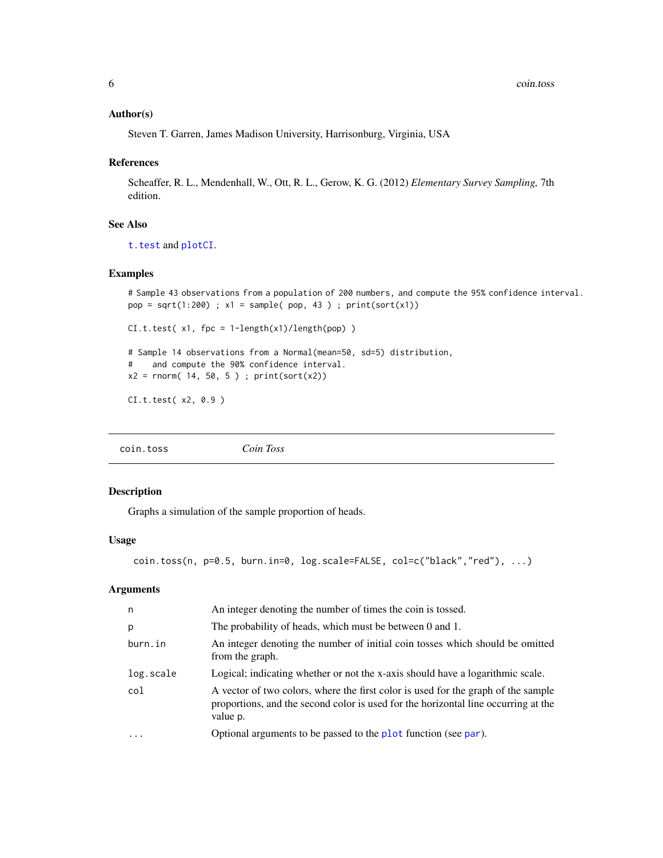#### <span id="page-5-0"></span>Author(s)

Steven T. Garren, James Madison University, Harrisonburg, Virginia, USA

#### References

Scheaffer, R. L., Mendenhall, W., Ott, R. L., Gerow, K. G. (2012) *Elementary Survey Sampling,* 7th edition.

# See Also

[t.test](#page-0-0) and [plotCI](#page-16-1).

# Examples

```
# Sample 43 observations from a population of 200 numbers, and compute the 95% confidence interval.
pop = sqrt(1:200); x1 = sample(pop, 43); print(sort(x1))CL.t.test(X1, fpc = 1-length(X1)/length(pop))# Sample 14 observations from a Normal(mean=50, sd=5) distribution,
# and compute the 90% confidence interval.
x2 = rnorm( 14, 50, 5); print(sort(x2))
CI.t.test( x2, 0.9 )
```
<span id="page-5-1"></span>

|  | Coin Toss | coin.toss |
|--|-----------|-----------|
|--|-----------|-----------|

#### Description

Graphs a simulation of the sample proportion of heads.

#### Usage

```
coin.toss(n, p=0.5, burn.in=0, log.scale=FALSE, col=c("black","red"), ...)
```
# Arguments

| n         | An integer denoting the number of times the coin is tossed.                                                                                                                         |
|-----------|-------------------------------------------------------------------------------------------------------------------------------------------------------------------------------------|
| p         | The probability of heads, which must be between 0 and 1.                                                                                                                            |
| burn.in   | An integer denoting the number of initial coin tosses which should be omitted<br>from the graph.                                                                                    |
| log.scale | Logical; indicating whether or not the x-axis should have a logarithmic scale.                                                                                                      |
| col       | A vector of two colors, where the first color is used for the graph of the sample<br>proportions, and the second color is used for the horizontal line occurring at the<br>value p. |
| $\ddotsc$ | Optional arguments to be passed to the plot function (see par).                                                                                                                     |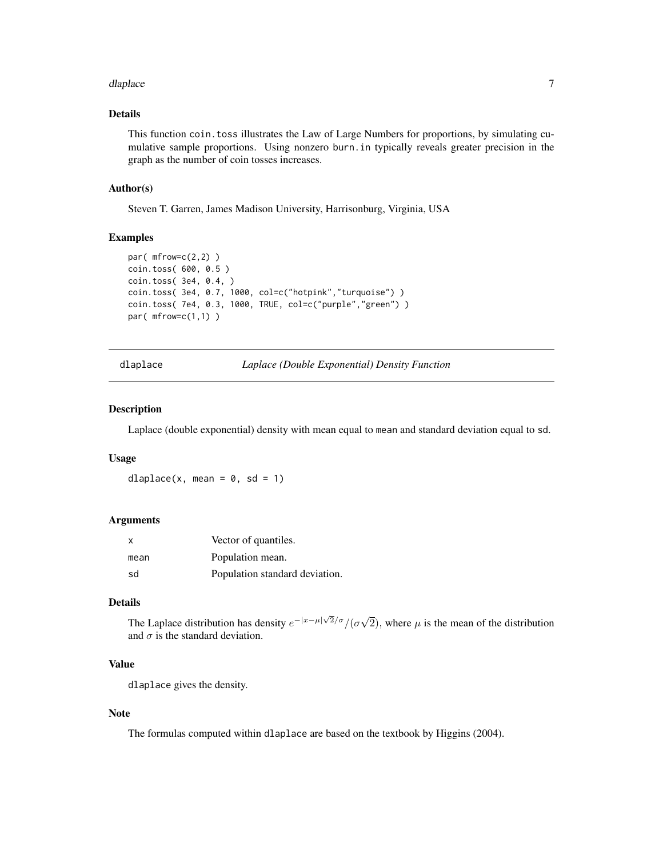#### <span id="page-6-0"></span>dlaplace **7** and 2008 **7** and 2008 **7** and 2008 **7** and 2008 **7** and 2008 **7** and 2008 **7** and 2008 **7** and 2008 **7** and 2008 **7** and 2008 **7** and 2008 **7** and 2008 **7** and 2008 **7** and 2008 **7** and 2008 **7** and 2008 **7** a

# Details

This function coin.toss illustrates the Law of Large Numbers for proportions, by simulating cumulative sample proportions. Using nonzero burn.in typically reveals greater precision in the graph as the number of coin tosses increases.

#### Author(s)

Steven T. Garren, James Madison University, Harrisonburg, Virginia, USA

# Examples

```
par(mfrow=c(2,2))
coin.toss( 600, 0.5 )
coin.toss( 3e4, 0.4, )
coin.toss( 3e4, 0.7, 1000, col=c("hotpink","turquoise") )
coin.toss( 7e4, 0.3, 1000, TRUE, col=c("purple","green") )
par( mfrow=c(1,1) )
```
<span id="page-6-1"></span>dlaplace *Laplace (Double Exponential) Density Function*

#### Description

Laplace (double exponential) density with mean equal to mean and standard deviation equal to sd.

#### Usage

dlaplace(x, mean =  $0$ , sd = 1)

#### Arguments

| X    | Vector of quantiles.           |
|------|--------------------------------|
| mean | Population mean.               |
| sd   | Population standard deviation. |

# Details

The Laplace distribution has density  $e^{-|x-\mu|\sqrt{2}/\sigma}/(\sigma\sqrt{2})$ 2), where  $\mu$  is the mean of the distribution and  $\sigma$  is the standard deviation.

# Value

dlaplace gives the density.

#### Note

The formulas computed within dlaplace are based on the textbook by Higgins (2004).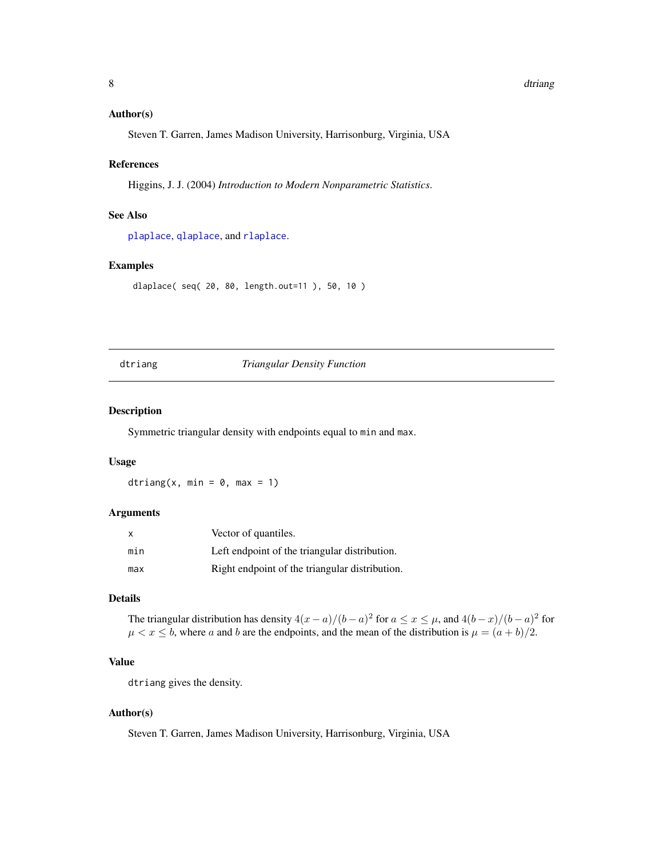#### <span id="page-7-0"></span>8 dtriang and the set of the set of the set of the set of the set of the set of the set of the set of the set of the set of the set of the set of the set of the set of the set of the set of the set of the set of the set of

#### Author(s)

Steven T. Garren, James Madison University, Harrisonburg, Virginia, USA

#### References

Higgins, J. J. (2004) *Introduction to Modern Nonparametric Statistics*.

# See Also

[plaplace](#page-15-1), [qlaplace](#page-21-1), and [rlaplace](#page-25-1).

#### Examples

dlaplace( seq( 20, 80, length.out=11 ), 50, 10 )

# <span id="page-7-1"></span>dtriang *Triangular Density Function*

# Description

Symmetric triangular density with endpoints equal to min and max.

#### Usage

dtriang(x, min =  $0$ , max = 1)

# Arguments

| $\mathsf{x}$ | Vector of quantiles.                           |
|--------------|------------------------------------------------|
| min          | Left endpoint of the triangular distribution.  |
| max          | Right endpoint of the triangular distribution. |

# Details

The triangular distribution has density  $4(x-a)/(b-a)^2$  for  $a \le x \le \mu$ , and  $4(b-x)/(b-a)^2$  for  $\mu < x \leq b$ , where a and b are the endpoints, and the mean of the distribution is  $\mu = (a + b)/2$ .

# Value

dtriang gives the density.

#### Author(s)

Steven T. Garren, James Madison University, Harrisonburg, Virginia, USA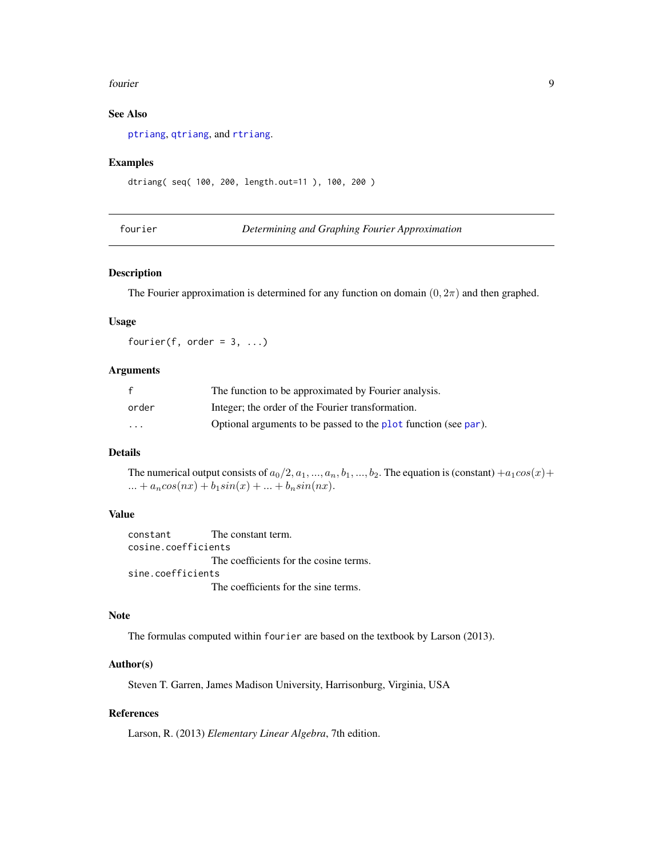#### <span id="page-8-0"></span>fourier 9

# See Also

[ptriang](#page-20-1), [qtriang](#page-22-1), and [rtriang](#page-27-1).

#### Examples

```
dtriang( seq( 100, 200, length.out=11 ), 100, 200 )
```
<span id="page-8-1"></span>fourier *Determining and Graphing Fourier Approximation*

#### Description

The Fourier approximation is determined for any function on domain  $(0, 2\pi)$  and then graphed.

# Usage

fourier(f, order =  $3, ...$ )

# Arguments

| f       | The function to be approximated by Fourier analysis.            |
|---------|-----------------------------------------------------------------|
| order   | Integer; the order of the Fourier transformation.               |
| $\cdot$ | Optional arguments to be passed to the plot function (see par). |

# Details

The numerical output consists of  $a_0/2, a_1, ..., a_n, b_1, ..., b_2$ . The equation is (constant)  $+a_1cos(x) +$ ... +  $a_n cos(nx) + b_1 sin(x) + ... + b_n sin(nx)$ .

## Value

constant The constant term. cosine.coefficients The coefficients for the cosine terms. sine.coefficients The coefficients for the sine terms.

# Note

The formulas computed within fourier are based on the textbook by Larson (2013).

#### Author(s)

Steven T. Garren, James Madison University, Harrisonburg, Virginia, USA

# References

Larson, R. (2013) *Elementary Linear Algebra*, 7th edition.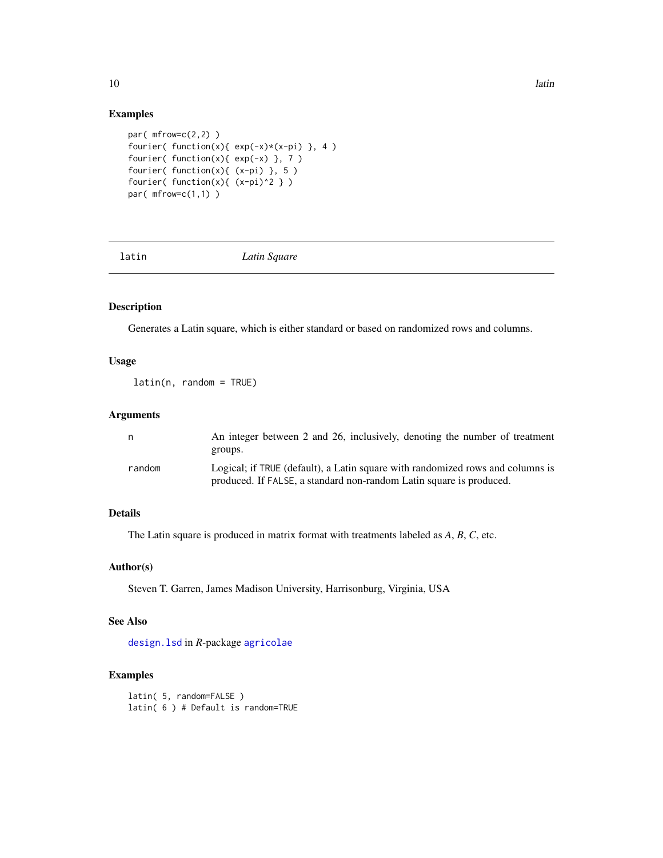# Examples

```
par( mfrow=c(2,2) )
fourier( function(x){ exp(-x)*(x-pi) }, 4 )
fourier( function(x){ exp(-x) }, 7 )
fourier( function(x){ (x-pi) }, 5 )
fourier( function(x){ (x-pi)^2 } )
par( mfrow=c(1,1) )
```
<span id="page-9-1"></span>

latin *Latin Square*

# Description

Generates a Latin square, which is either standard or based on randomized rows and columns.

#### Usage

latin(n, random = TRUE)

# Arguments

| n      | An integer between 2 and 26, inclusively, denoting the number of treatment     |
|--------|--------------------------------------------------------------------------------|
|        | groups.                                                                        |
| random | Logical; if TRUE (default), a Latin square with randomized rows and columns is |
|        | produced. If FALSE, a standard non-random Latin square is produced.            |

# Details

The Latin square is produced in matrix format with treatments labeled as *A*, *B*, *C*, etc.

# Author(s)

Steven T. Garren, James Madison University, Harrisonburg, Virginia, USA

## See Also

[design.lsd](#page-0-0) in *R*-package [agricolae](#page-0-0)

## Examples

```
latin( 5, random=FALSE )
latin( 6 ) # Default is random=TRUE
```
<span id="page-9-0"></span>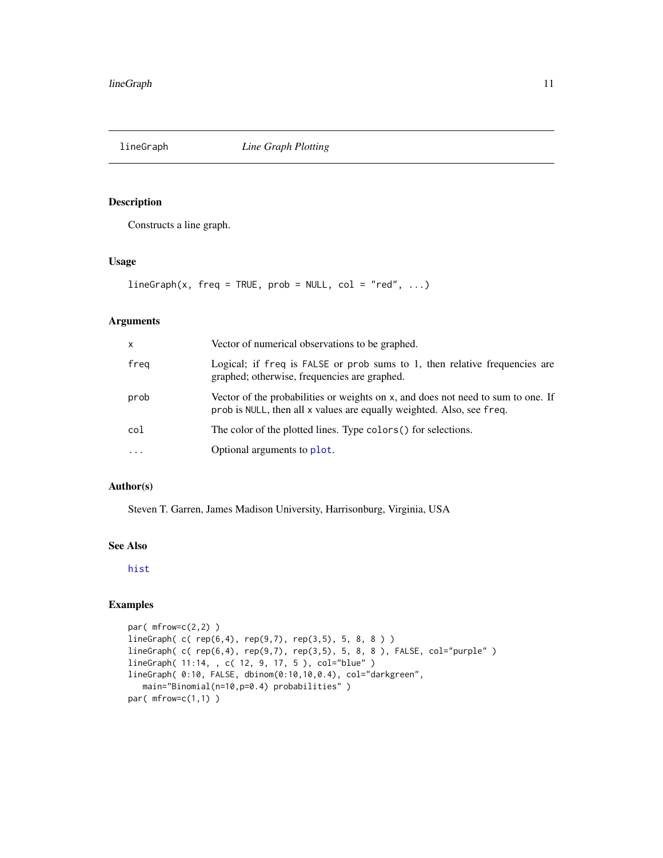<span id="page-10-1"></span><span id="page-10-0"></span>

Constructs a line graph.

# Usage

 $lineGraph(x, freq = TRUE, prob = NULL, col = "red", ...)$ 

# Arguments

| $\mathsf{x}$ | Vector of numerical observations to be graphed.                                                                                                           |
|--------------|-----------------------------------------------------------------------------------------------------------------------------------------------------------|
| freg         | Logical; if freq is FALSE or prob sums to 1, then relative frequencies are<br>graphed; otherwise, frequencies are graphed.                                |
| prob         | Vector of the probabilities or weights on x, and does not need to sum to one. If<br>prob is NULL, then all x values are equally weighted. Also, see freq. |
| col          | The color of the plotted lines. Type colors () for selections.                                                                                            |
|              | Optional arguments to plot.                                                                                                                               |

## Author(s)

Steven T. Garren, James Madison University, Harrisonburg, Virginia, USA

# See Also

[hist](#page-0-0)

# Examples

```
par( mfrow=c(2,2) )
lineGraph( c( rep(6,4), rep(9,7), rep(3,5), 5, 8, 8 ) )
lineGraph( c( rep(6,4), rep(9,7), rep(3,5), 5, 8, 8 ), FALSE, col="purple" )
lineGraph( 11:14, , c( 12, 9, 17, 5 ), col="blue" )
lineGraph( 0:10, FALSE, dbinom(0:10,10,0.4), col="darkgreen",
  main="Binomial(n=10,p=0.4) probabilities" )
par(mfrow=c(1,1))
```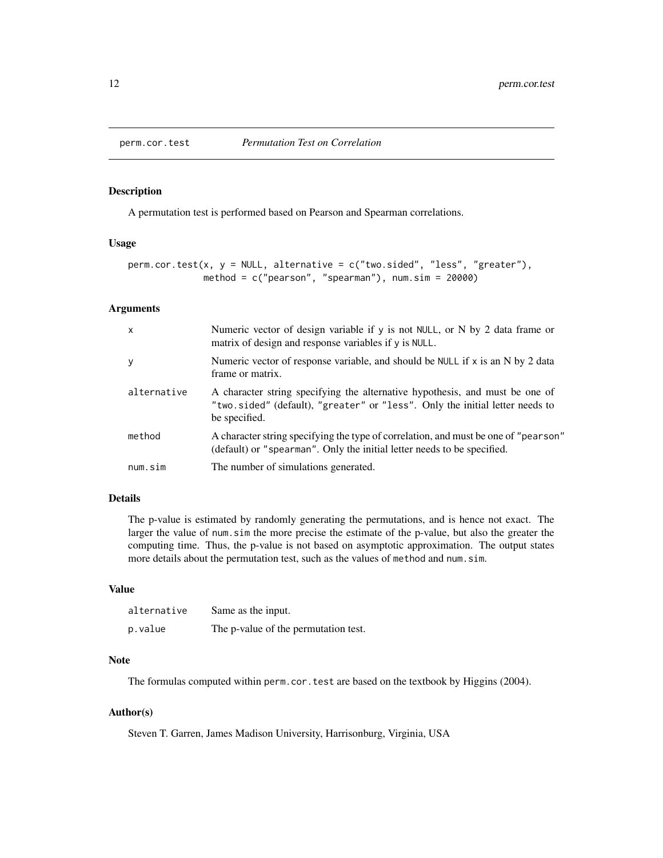<span id="page-11-1"></span><span id="page-11-0"></span>

A permutation test is performed based on Pearson and Spearman correlations.

#### Usage

```
perm.cor.test(x, y = NULL, alternative = c("two.sided", "less", "greater"),
             method = c("pearson", "spearman"), num.sim = 20000)
```
#### Arguments

| $\times$    | Numeric vector of design variable if y is not NULL, or N by 2 data frame or<br>matrix of design and response variables if y is NULL.                                          |
|-------------|-------------------------------------------------------------------------------------------------------------------------------------------------------------------------------|
| y           | Numeric vector of response variable, and should be NULL if $x$ is an N by 2 data<br>frame or matrix.                                                                          |
| alternative | A character string specifying the alternative hypothesis, and must be one of<br>"two.sided" (default), "greater" or "less". Only the initial letter needs to<br>be specified. |
| method      | A character string specifying the type of correlation, and must be one of "pearson"<br>(default) or "spearman". Only the initial letter needs to be specified.                |
| num.sim     | The number of simulations generated.                                                                                                                                          |

#### Details

The p-value is estimated by randomly generating the permutations, and is hence not exact. The larger the value of num.sim the more precise the estimate of the p-value, but also the greater the computing time. Thus, the p-value is not based on asymptotic approximation. The output states more details about the permutation test, such as the values of method and num.sim.

# Value

| alternative | Same as the input.                   |
|-------------|--------------------------------------|
| p.value     | The p-value of the permutation test. |

#### Note

The formulas computed within perm.cor.test are based on the textbook by Higgins (2004).

#### Author(s)

Steven T. Garren, James Madison University, Harrisonburg, Virginia, USA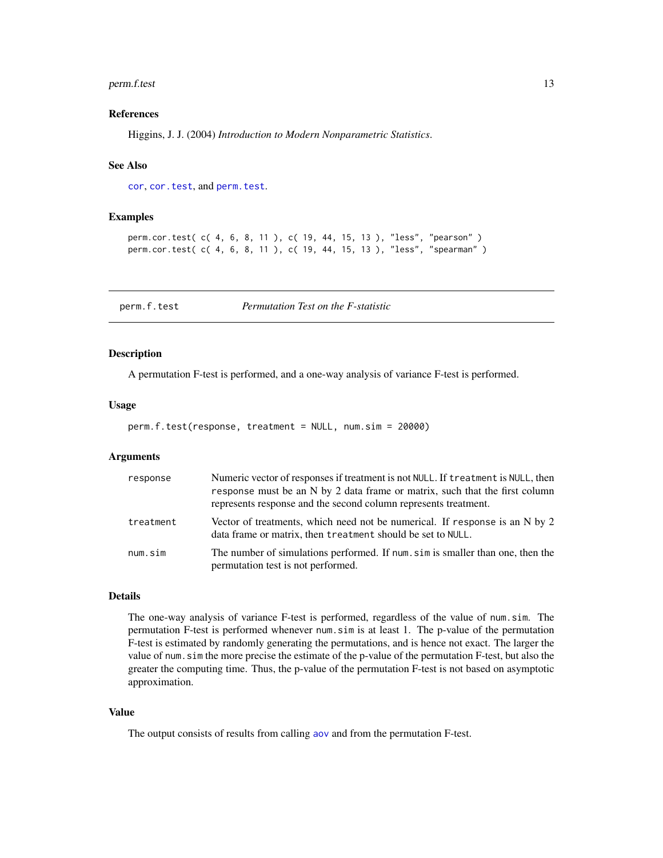#### <span id="page-12-0"></span>perm.f.test 13

#### References

Higgins, J. J. (2004) *Introduction to Modern Nonparametric Statistics*.

#### See Also

[cor](#page-0-0), [cor.test](#page-0-0), and [perm.test](#page-13-1).

#### Examples

```
perm.cor.test( c( 4, 6, 8, 11 ), c( 19, 44, 15, 13 ), "less", "pearson" )
perm.cor.test( c( 4, 6, 8, 11 ), c( 19, 44, 15, 13 ), "less", "spearman" )
```
<span id="page-12-1"></span>perm.f.test *Permutation Test on the F-statistic*

#### Description

A permutation F-test is performed, and a one-way analysis of variance F-test is performed.

#### Usage

```
perm.f.test(response, treatment = NULL, num.sim = 20000)
```
#### Arguments

| response  | Numeric vector of responses if treatment is not NULL. If treatment is NULL, then<br>response must be an N by 2 data frame or matrix, such that the first column<br>represents response and the second column represents treatment. |
|-----------|------------------------------------------------------------------------------------------------------------------------------------------------------------------------------------------------------------------------------------|
| treatment | Vector of treatments, which need not be numerical. If response is an N by 2<br>data frame or matrix, then treatment should be set to NULL.                                                                                         |
| num.sim   | The number of simulations performed. If num, sim is smaller than one, then the<br>permutation test is not performed.                                                                                                               |

# Details

The one-way analysis of variance F-test is performed, regardless of the value of num.sim. The permutation F-test is performed whenever num.sim is at least 1. The p-value of the permutation F-test is estimated by randomly generating the permutations, and is hence not exact. The larger the value of num.sim the more precise the estimate of the p-value of the permutation F-test, but also the greater the computing time. Thus, the p-value of the permutation F-test is not based on asymptotic approximation.

#### Value

The output consists of results from calling [aov](#page-0-0) and from the permutation F-test.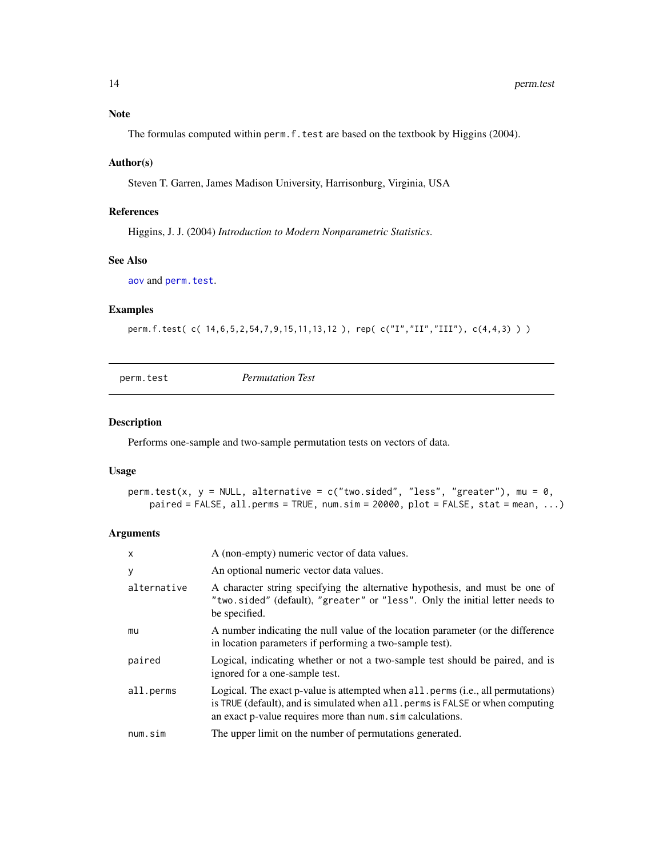# <span id="page-13-0"></span>Note

The formulas computed within perm.f.test are based on the textbook by Higgins (2004).

#### Author(s)

Steven T. Garren, James Madison University, Harrisonburg, Virginia, USA

#### References

Higgins, J. J. (2004) *Introduction to Modern Nonparametric Statistics*.

#### See Also

[aov](#page-0-0) and [perm.test](#page-13-1).

# Examples

perm.f.test( c( 14,6,5,2,54,7,9,15,11,13,12 ), rep( c("I","II","III"), c(4,4,3) ) )

<span id="page-13-1"></span>perm.test *Permutation Test*

#### Description

Performs one-sample and two-sample permutation tests on vectors of data.

#### Usage

```
perm.test(x, y = NULL, alternative = c("two.sided", "less", "greater"), mu = 0,
   paired = FALSE, all.perms = TRUE, num.sim = 20000, plot = FALSE, stat = mean, ...)
```
#### Arguments

| $\times$    | A (non-empty) numeric vector of data values.                                                                                                                                                                                    |
|-------------|---------------------------------------------------------------------------------------------------------------------------------------------------------------------------------------------------------------------------------|
| У           | An optional numeric vector data values.                                                                                                                                                                                         |
| alternative | A character string specifying the alternative hypothesis, and must be one of<br>"two.sided" (default), "greater" or "less". Only the initial letter needs to<br>be specified.                                                   |
| mu          | A number indicating the null value of the location parameter (or the difference<br>in location parameters if performing a two-sample test).                                                                                     |
| paired      | Logical, indicating whether or not a two-sample test should be paired, and is<br>ignored for a one-sample test.                                                                                                                 |
| all.perms   | Logical. The exact p-value is attempted when all perms (i.e., all permutations)<br>is TRUE (default), and is simulated when all, perms is FALSE or when computing<br>an exact p-value requires more than num. sim calculations. |
| num.sim     | The upper limit on the number of permutations generated.                                                                                                                                                                        |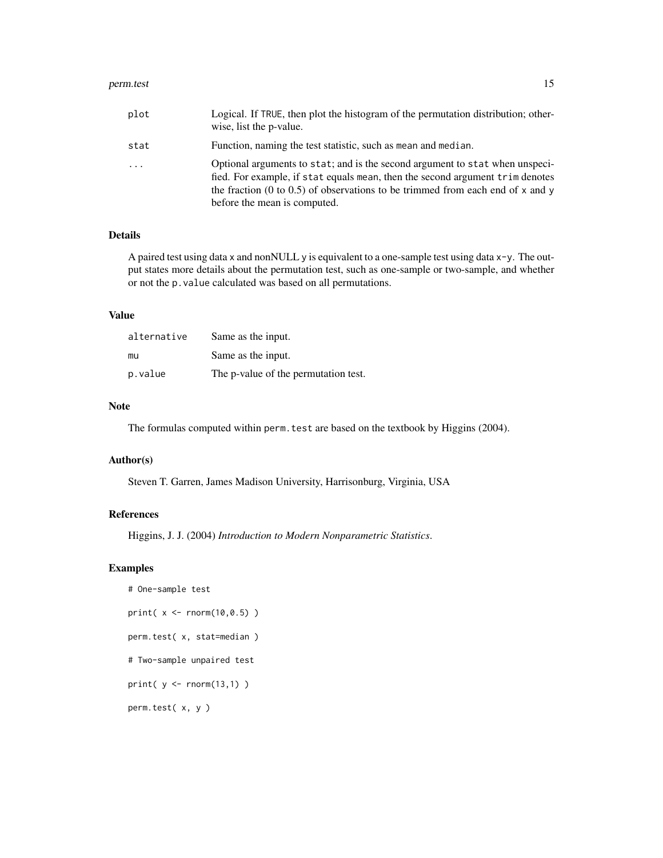#### perm.test 15

| plot | Logical. If TRUE, then plot the histogram of the permutation distribution; other-<br>wise, list the p-value.                                                                                                                                                                    |
|------|---------------------------------------------------------------------------------------------------------------------------------------------------------------------------------------------------------------------------------------------------------------------------------|
| stat | Function, naming the test statistic, such as mean and median.                                                                                                                                                                                                                   |
| .    | Optional arguments to stat; and is the second argument to stat when unspeci-<br>fied. For example, if stat equals mean, then the second argument trim denotes<br>the fraction (0 to 0.5) of observations to be trimmed from each end of x and y<br>before the mean is computed. |

# Details

A paired test using data x and nonNULL y is equivalent to a one-sample test using data x-y. The output states more details about the permutation test, such as one-sample or two-sample, and whether or not the p.value calculated was based on all permutations.

# Value

| alternative | Same as the input.                   |
|-------------|--------------------------------------|
| mu          | Same as the input.                   |
| p.value     | The p-value of the permutation test. |

#### Note

The formulas computed within perm. test are based on the textbook by Higgins (2004).

# Author(s)

Steven T. Garren, James Madison University, Harrisonburg, Virginia, USA

## References

Higgins, J. J. (2004) *Introduction to Modern Nonparametric Statistics*.

#### Examples

```
# One-sample test
```

```
print( x <- rnorm(10,0.5) )
```

```
perm.test( x, stat=median )
```

```
# Two-sample unpaired test
```

```
print( y <- rnorm(13,1) )
```
perm.test( x, y )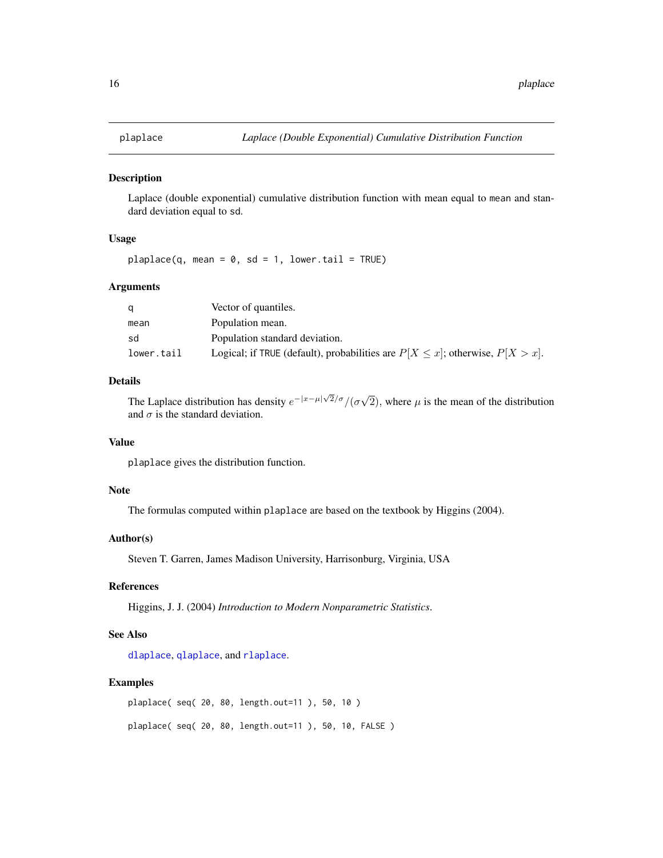<span id="page-15-1"></span><span id="page-15-0"></span>

Laplace (double exponential) cumulative distribution function with mean equal to mean and standard deviation equal to sd.

# Usage

plaplace(q, mean =  $0$ , sd = 1, lower.tail = TRUE)

# Arguments

|            | Vector of quantiles.                                                                  |
|------------|---------------------------------------------------------------------------------------|
| mean       | Population mean.                                                                      |
| sd         | Population standard deviation.                                                        |
| lower.tail | Logical; if TRUE (default), probabilities are $P[X \leq x]$ ; otherwise, $P[X > x]$ . |

# Details

The Laplace distribution has density  $e^{-|x-\mu|\sqrt{2}/\sigma}/(\sigma\sqrt{2})$ 2), where  $\mu$  is the mean of the distribution and  $\sigma$  is the standard deviation.

# Value

plaplace gives the distribution function.

# Note

The formulas computed within plaplace are based on the textbook by Higgins (2004).

# Author(s)

Steven T. Garren, James Madison University, Harrisonburg, Virginia, USA

#### References

Higgins, J. J. (2004) *Introduction to Modern Nonparametric Statistics*.

# See Also

[dlaplace](#page-6-1), [qlaplace](#page-21-1), and [rlaplace](#page-25-1).

#### Examples

plaplace( seq( 20, 80, length.out=11 ), 50, 10 ) plaplace( seq( 20, 80, length.out=11 ), 50, 10, FALSE )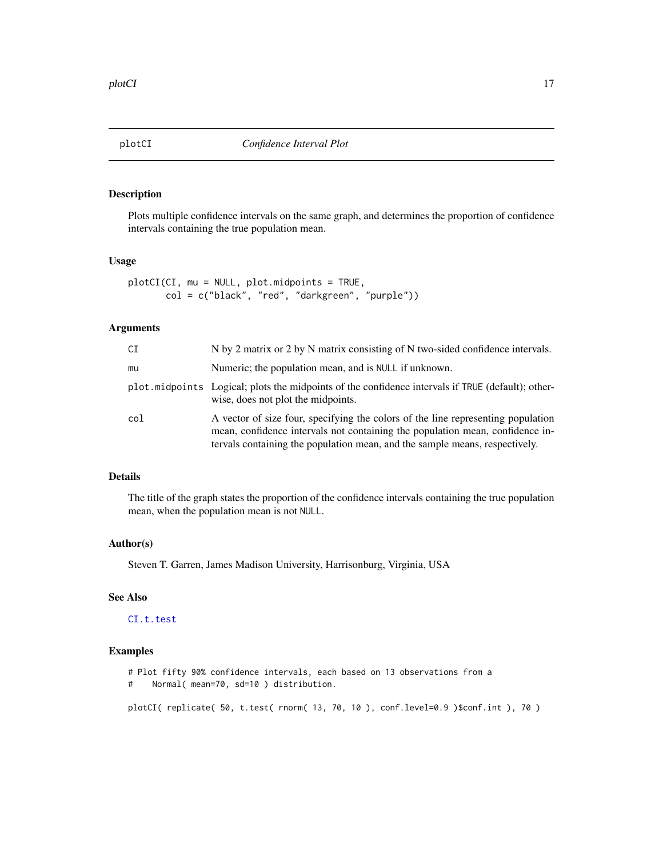<span id="page-16-1"></span><span id="page-16-0"></span>

Plots multiple confidence intervals on the same graph, and determines the proportion of confidence intervals containing the true population mean.

#### Usage

```
plotCI(CI, mu = NULL, plot.midpoints = TRUE,
      col = c("black", "red", "darkgreen", "purple"))
```
# Arguments

| CI  | N by 2 matrix or 2 by N matrix consisting of N two-sided confidence intervals.                                                                                                                                                                   |
|-----|--------------------------------------------------------------------------------------------------------------------------------------------------------------------------------------------------------------------------------------------------|
| mu  | Numeric; the population mean, and is NULL if unknown.                                                                                                                                                                                            |
|     | plot midpoints Logical; plots the midpoints of the confidence intervals if TRUE (default); other-<br>wise, does not plot the midpoints.                                                                                                          |
| col | A vector of size four, specifying the colors of the line representing population<br>mean, confidence intervals not containing the population mean, confidence in-<br>tervals containing the population mean, and the sample means, respectively. |

# Details

The title of the graph states the proportion of the confidence intervals containing the true population mean, when the population mean is not NULL.

#### Author(s)

Steven T. Garren, James Madison University, Harrisonburg, Virginia, USA

# See Also

[CI.t.test](#page-4-1)

#### Examples

```
# Plot fifty 90% confidence intervals, each based on 13 observations from a
# Normal( mean=70, sd=10 ) distribution.
```
plotCI( replicate( 50, t.test( rnorm( 13, 70, 10 ), conf.level=0.9 )\$conf.int ), 70 )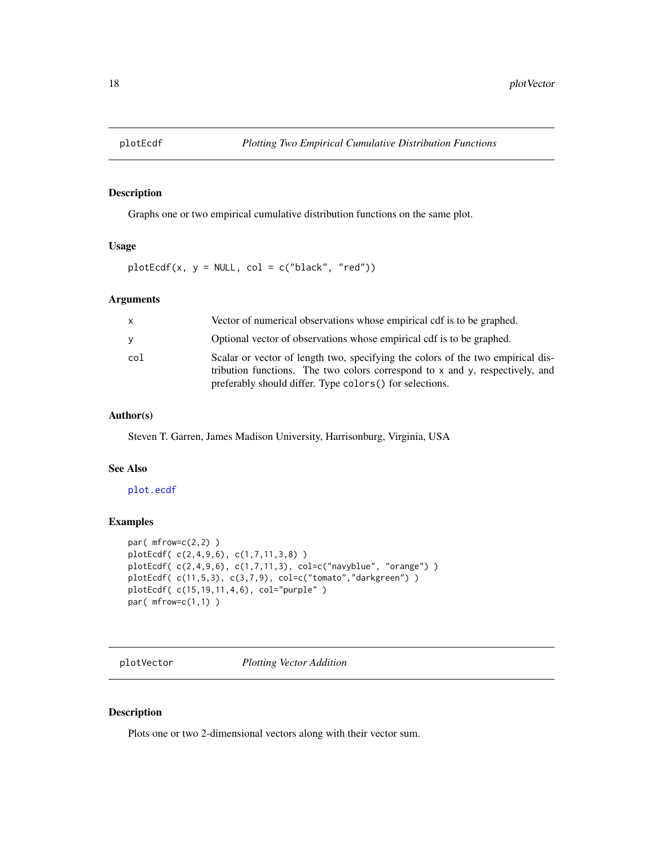<span id="page-17-1"></span><span id="page-17-0"></span>

Graphs one or two empirical cumulative distribution functions on the same plot.

#### Usage

 $plotEcdf(x, y = NULL, col = c("black", "red"))$ 

#### Arguments

| $\mathsf{x}$ | Vector of numerical observations whose empirical cdf is to be graphed.                                                                                                                                                           |
|--------------|----------------------------------------------------------------------------------------------------------------------------------------------------------------------------------------------------------------------------------|
| y            | Optional vector of observations whose empirical cdf is to be graphed.                                                                                                                                                            |
| col          | Scalar or vector of length two, specifying the colors of the two empirical dis-<br>tribution functions. The two colors correspond to $x$ and $y$ , respectively, and<br>preferably should differ. Type colors () for selections. |

#### Author(s)

Steven T. Garren, James Madison University, Harrisonburg, Virginia, USA

#### See Also

# [plot.ecdf](#page-0-0)

# Examples

```
par( mfrow=c(2,2) )
plotEcdf( c(2,4,9,6), c(1,7,11,3,8) )
plotEcdf( c(2,4,9,6), c(1,7,11,3), col=c("navyblue", "orange") )
plotEcdf( c(11,5,3), c(3,7,9), col=c("tomato","darkgreen") )
plotEcdf( c(15,19,11,4,6), col="purple" )
par( mfrow=c(1,1) )
```
<span id="page-17-2"></span>plotVector *Plotting Vector Addition*

#### Description

Plots one or two 2-dimensional vectors along with their vector sum.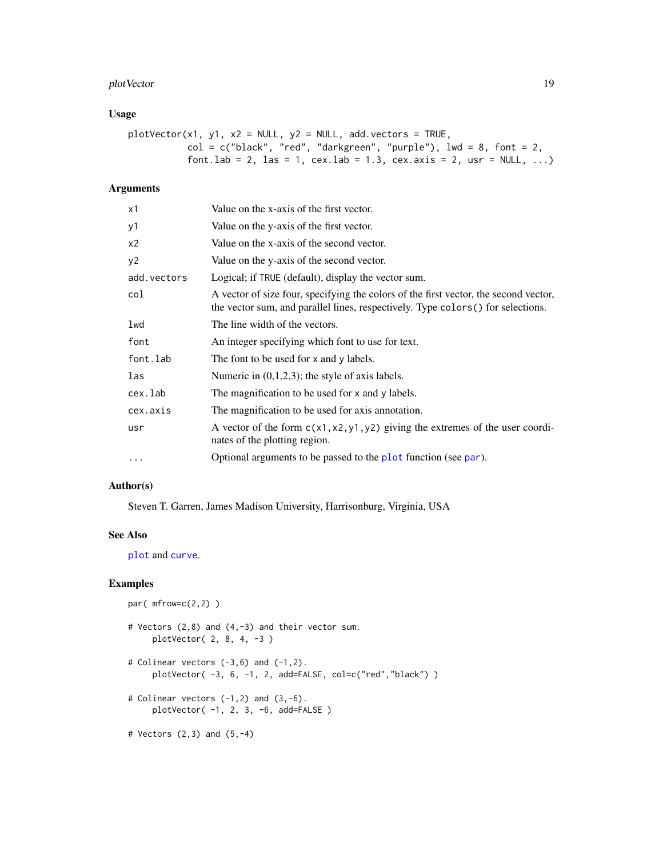# <span id="page-18-0"></span>plotVector 19

# Usage

```
plotVector(x1, y1, x2 = NULL, y2 = NULL, add. vectors = TRUE,col = c("black", "red", "darkgreen", "purple", \n    line = 8, font = 2,font.lab = 2, las = 1, cex.lab = 1.3, cex.axis = 2, usr = NULL, ...)
```
# Arguments

| х1          | Value on the x-axis of the first vector.                                                                                                                                 |
|-------------|--------------------------------------------------------------------------------------------------------------------------------------------------------------------------|
| у1          | Value on the y-axis of the first vector.                                                                                                                                 |
| x2          | Value on the x-axis of the second vector.                                                                                                                                |
| y2          | Value on the y-axis of the second vector.                                                                                                                                |
| add.vectors | Logical; if TRUE (default), display the vector sum.                                                                                                                      |
| col         | A vector of size four, specifying the colors of the first vector, the second vector,<br>the vector sum, and parallel lines, respectively. Type colors () for selections. |
| lwd         | The line width of the vectors.                                                                                                                                           |
| font        | An integer specifying which font to use for text.                                                                                                                        |
| font.lab    | The font to be used for x and y labels.                                                                                                                                  |
| las         | Numeric in $(0,1,2,3)$ ; the style of axis labels.                                                                                                                       |
| cex.lab     | The magnification to be used for x and y labels.                                                                                                                         |
| cex.axis    | The magnification to be used for axis annotation.                                                                                                                        |
| usr         | A vector of the form $c(x1, x2, y1, y2)$ giving the extremes of the user coordi-<br>nates of the plotting region.                                                        |
| $\cdots$    | Optional arguments to be passed to the plot function (see par).                                                                                                          |
|             |                                                                                                                                                                          |

## Author(s)

Steven T. Garren, James Madison University, Harrisonburg, Virginia, USA

# See Also

[plot](#page-0-0) and [curve](#page-0-0).

# Examples

```
par(mfrow=c(2,2))
```
- # Vectors (2,8) and (4,-3) and their vector sum. plotVector( 2, 8, 4, -3 )
- # Colinear vectors  $(-3,6)$  and  $(-1,2)$ . plotVector( -3, 6, -1, 2, add=FALSE, col=c("red","black") )
- # Colinear vectors  $(-1,2)$  and  $(3,-6)$ . plotVector( -1, 2, 3, -6, add=FALSE )

# Vectors (2,3) and (5,-4)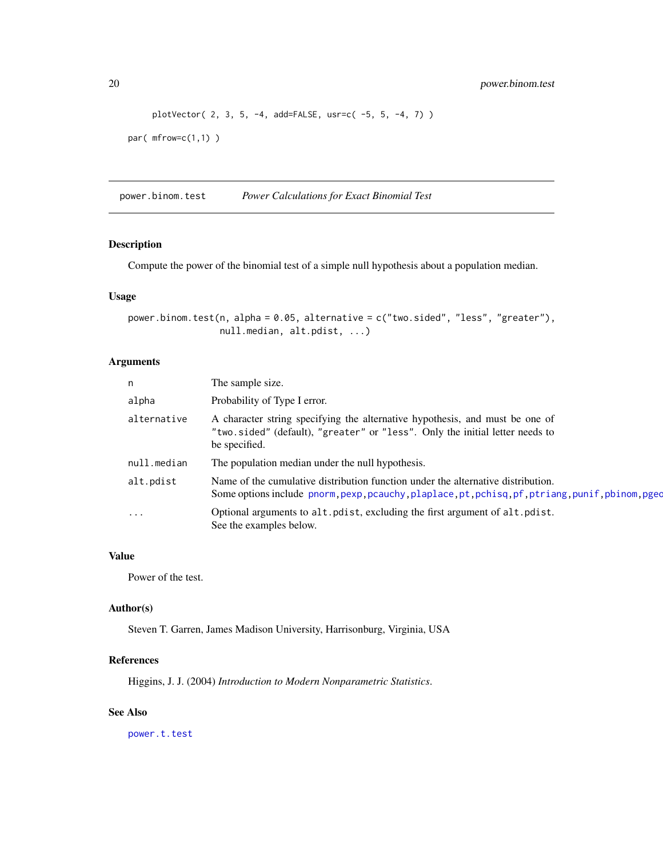```
plotVector( 2, 3, 5, -4, add=FALSE, usr=c( -5, 5, -4, 7) )
par( mfrow=c(1,1) )
```
<span id="page-19-1"></span>power.binom.test *Power Calculations for Exact Binomial Test*

# Description

Compute the power of the binomial test of a simple null hypothesis about a population median.

#### Usage

```
power.binom.test(n, alpha = 0.05, alternative = c("two.sided", "less", "greater"),
                 null.median, alt.pdist, ...)
```
# Arguments

| n           | The sample size.                                                                                                                                                                      |
|-------------|---------------------------------------------------------------------------------------------------------------------------------------------------------------------------------------|
| alpha       | Probability of Type I error.                                                                                                                                                          |
| alternative | A character string specifying the alternative hypothesis, and must be one of<br>"two.sided" (default), "greater" or "less". Only the initial letter needs to<br>be specified.         |
| null.median | The population median under the null hypothesis.                                                                                                                                      |
| alt.pdist   | Name of the cumulative distribution function under the alternative distribution.<br>Some options include pnorm, pexp, pcauchy, plaplace, pt, pchisq, pf, ptriang, punif, pbinom, pged |
| $\ddotsc$   | Optional arguments to alt. polist, excluding the first argument of alt. polist.<br>See the examples below.                                                                            |

# Value

Power of the test.

#### Author(s)

Steven T. Garren, James Madison University, Harrisonburg, Virginia, USA

#### References

Higgins, J. J. (2004) *Introduction to Modern Nonparametric Statistics*.

#### See Also

[power.t.test](#page-0-0)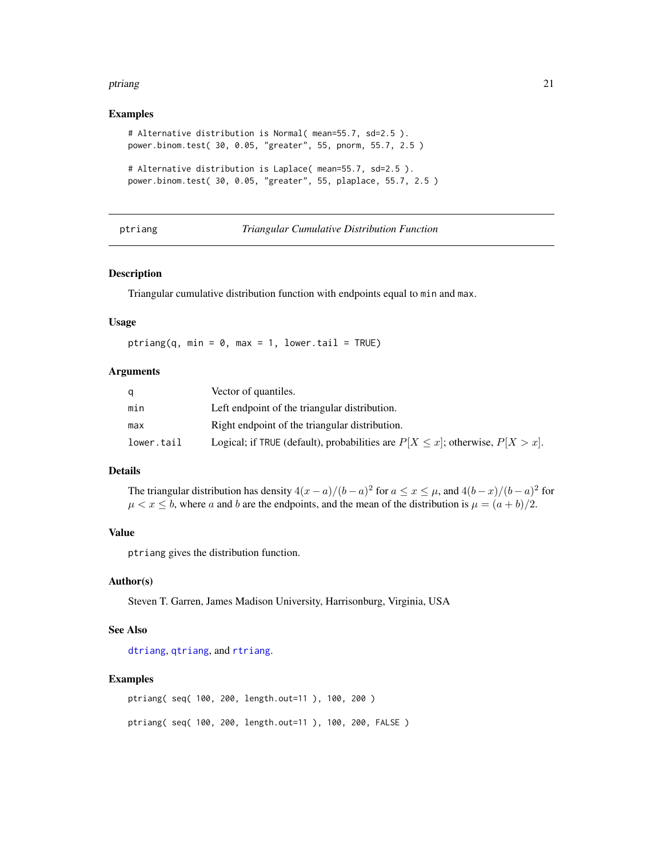#### <span id="page-20-0"></span>ptriang 21

#### Examples

```
# Alternative distribution is Normal( mean=55.7, sd=2.5 ).
power.binom.test( 30, 0.05, "greater", 55, pnorm, 55.7, 2.5 )
# Alternative distribution is Laplace( mean=55.7, sd=2.5 ).
power.binom.test( 30, 0.05, "greater", 55, plaplace, 55.7, 2.5 )
```
<span id="page-20-1"></span>ptriang *Triangular Cumulative Distribution Function*

#### Description

Triangular cumulative distribution function with endpoints equal to min and max.

#### Usage

ptriang(q, min =  $0$ , max = 1, lower.tail = TRUE)

#### Arguments

|            | Vector of quantiles.                                                                  |
|------------|---------------------------------------------------------------------------------------|
| min        | Left endpoint of the triangular distribution.                                         |
| max        | Right endpoint of the triangular distribution.                                        |
| lower.tail | Logical; if TRUE (default), probabilities are $P[X \leq x]$ ; otherwise, $P[X > x]$ . |

# Details

The triangular distribution has density  $4(x-a)/(b-a)^2$  for  $a \le x \le \mu$ , and  $4(b-x)/(b-a)^2$  for  $\mu < x \leq b$ , where a and b are the endpoints, and the mean of the distribution is  $\mu = (a + b)/2$ .

#### Value

ptriang gives the distribution function.

#### Author(s)

Steven T. Garren, James Madison University, Harrisonburg, Virginia, USA

#### See Also

[dtriang](#page-7-1), [qtriang](#page-22-1), and [rtriang](#page-27-1).

# Examples

```
ptriang( seq( 100, 200, length.out=11 ), 100, 200 )
ptriang( seq( 100, 200, length.out=11 ), 100, 200, FALSE )
```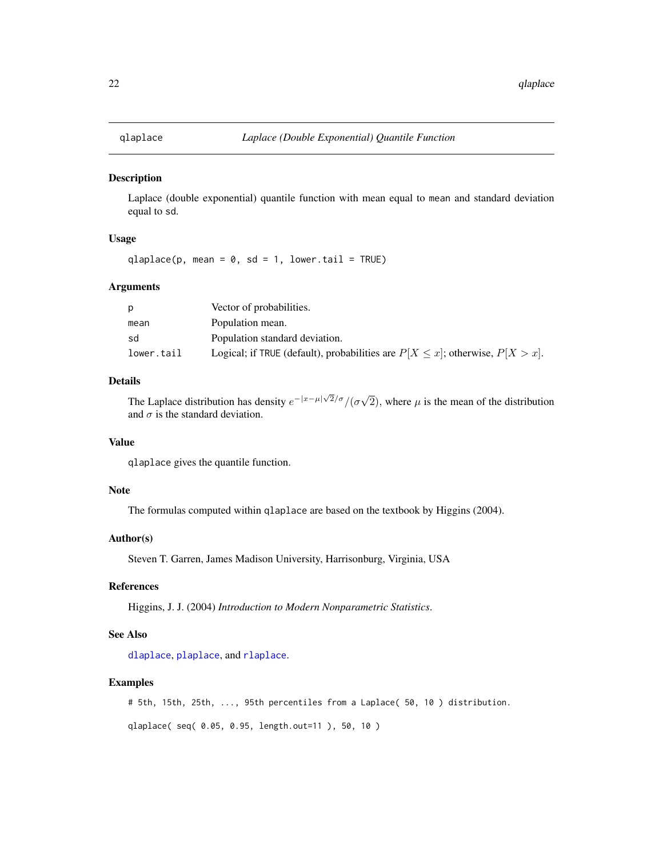<span id="page-21-1"></span><span id="page-21-0"></span>

Laplace (double exponential) quantile function with mean equal to mean and standard deviation equal to sd.

# Usage

qlaplace(p, mean =  $0$ , sd = 1, lower.tail = TRUE)

# Arguments

|            | Vector of probabilities.                                                              |
|------------|---------------------------------------------------------------------------------------|
| mean       | Population mean.                                                                      |
| sd         | Population standard deviation.                                                        |
| lower.tail | Logical; if TRUE (default), probabilities are $P[X \leq x]$ ; otherwise, $P[X > x]$ . |

# Details

The Laplace distribution has density  $e^{-|x-\mu|\sqrt{2}/\sigma}/(\sigma\sqrt{2})$ 2), where  $\mu$  is the mean of the distribution and  $\sigma$  is the standard deviation.

# Value

qlaplace gives the quantile function.

# Note

The formulas computed within qlaplace are based on the textbook by Higgins (2004).

# Author(s)

Steven T. Garren, James Madison University, Harrisonburg, Virginia, USA

#### References

Higgins, J. J. (2004) *Introduction to Modern Nonparametric Statistics*.

# See Also

[dlaplace](#page-6-1), [plaplace](#page-15-1), and [rlaplace](#page-25-1).

#### Examples

# 5th, 15th, 25th, ..., 95th percentiles from a Laplace( 50, 10 ) distribution.

qlaplace( seq( 0.05, 0.95, length.out=11 ), 50, 10 )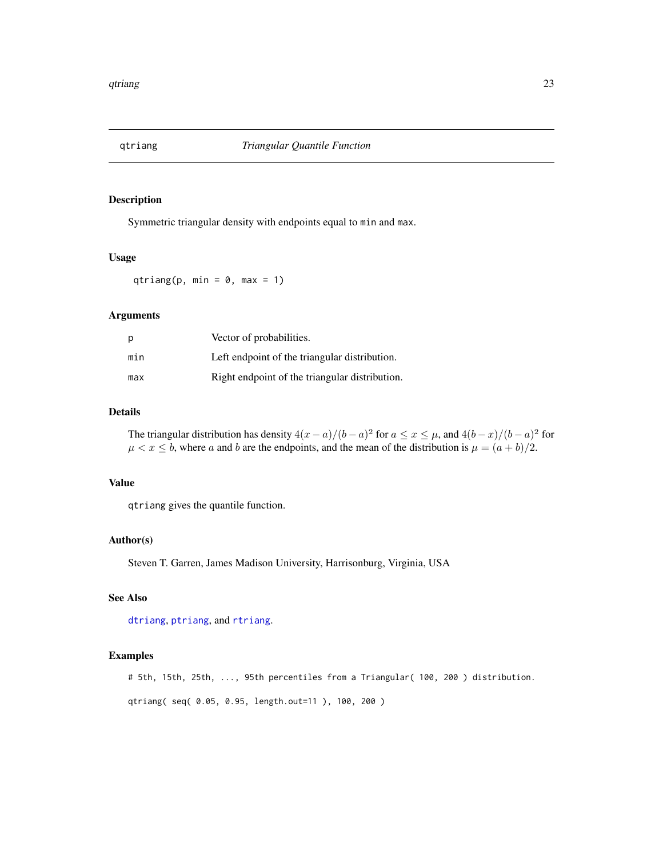<span id="page-22-1"></span><span id="page-22-0"></span>

Symmetric triangular density with endpoints equal to min and max.

# Usage

qtriang(p, min =  $0$ , max = 1)

# Arguments

| р   | Vector of probabilities.                       |
|-----|------------------------------------------------|
| min | Left endpoint of the triangular distribution.  |
| max | Right endpoint of the triangular distribution. |

# Details

The triangular distribution has density  $4(x-a)/(b-a)^2$  for  $a \le x \le \mu$ , and  $4(b-x)/(b-a)^2$  for  $\mu < x \leq b$ , where a and b are the endpoints, and the mean of the distribution is  $\mu = (a + b)/2$ .

# Value

qtriang gives the quantile function.

#### Author(s)

Steven T. Garren, James Madison University, Harrisonburg, Virginia, USA

# See Also

[dtriang](#page-7-1), [ptriang](#page-20-1), and [rtriang](#page-27-1).

# Examples

# 5th, 15th, 25th, ..., 95th percentiles from a Triangular( 100, 200 ) distribution.

qtriang( seq( 0.05, 0.95, length.out=11 ), 100, 200 )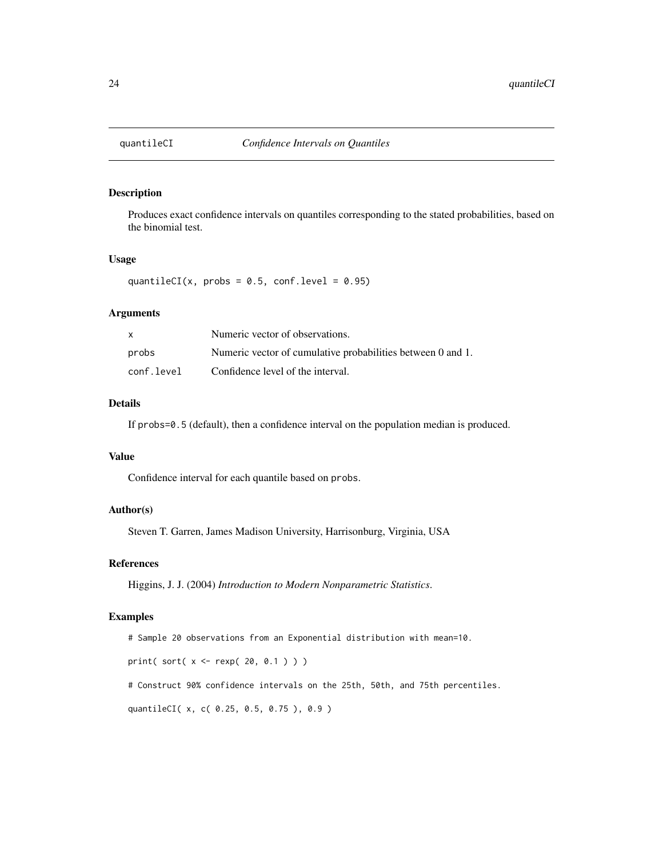<span id="page-23-1"></span><span id="page-23-0"></span>

Produces exact confidence intervals on quantiles corresponding to the stated probabilities, based on the binomial test.

#### Usage

quantileCI(x, probs =  $0.5$ , conf.level =  $0.95$ )

# Arguments

| X          | Numeric vector of observations.                             |
|------------|-------------------------------------------------------------|
| probs      | Numeric vector of cumulative probabilities between 0 and 1. |
| conf.level | Confidence level of the interval.                           |

#### Details

If probs=0.5 (default), then a confidence interval on the population median is produced.

# Value

Confidence interval for each quantile based on probs.

# Author(s)

Steven T. Garren, James Madison University, Harrisonburg, Virginia, USA

#### References

Higgins, J. J. (2004) *Introduction to Modern Nonparametric Statistics*.

#### Examples

# Sample 20 observations from an Exponential distribution with mean=10. print( sort( x <- rexp( 20, 0.1 ) ) ) # Construct 90% confidence intervals on the 25th, 50th, and 75th percentiles. quantileCI( x, c( 0.25, 0.5, 0.75 ), 0.9 )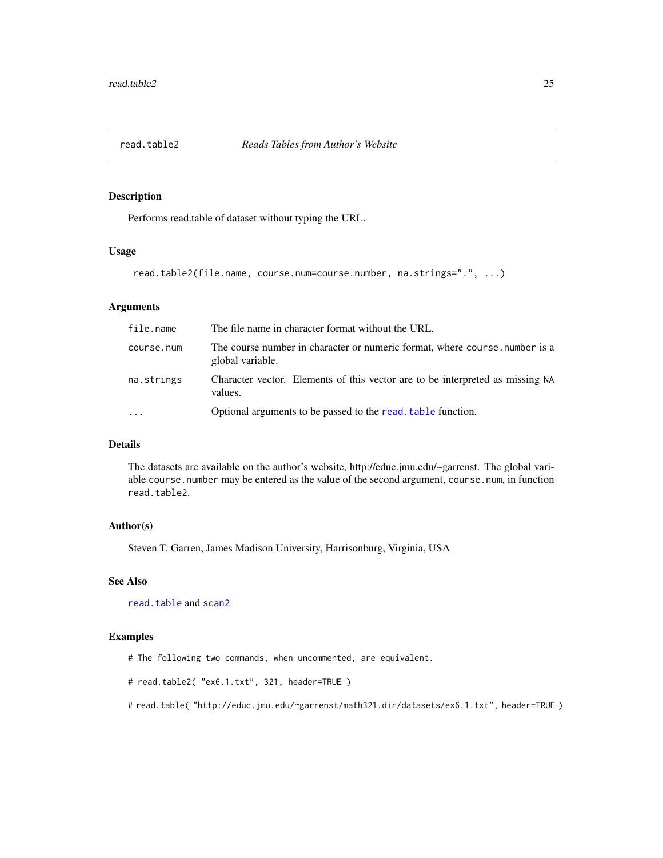<span id="page-24-1"></span><span id="page-24-0"></span>

Performs read.table of dataset without typing the URL.

#### Usage

```
read.table2(file.name, course.num=course.number, na.strings=".", ...)
```
# Arguments

| file.name  | The file name in character format without the URL.                                              |
|------------|-------------------------------------------------------------------------------------------------|
| course.num | The course number in character or numeric format, where course, number is a<br>global variable. |
| na.strings | Character vector. Elements of this vector are to be interpreted as missing NA<br>values.        |
| $\cdots$   | Optional arguments to be passed to the read. table function.                                    |

#### Details

The datasets are available on the author's website, http://educ.jmu.edu/~garrenst. The global variable course.number may be entered as the value of the second argument, course.num, in function read.table2.

## Author(s)

Steven T. Garren, James Madison University, Harrisonburg, Virginia, USA

# See Also

[read.table](#page-0-0) and [scan2](#page-28-1)

# Examples

# The following two commands, when uncommented, are equivalent.

```
# read.table2( "ex6.1.txt", 321, header=TRUE )
```
# read.table( "http://educ.jmu.edu/~garrenst/math321.dir/datasets/ex6.1.txt", header=TRUE )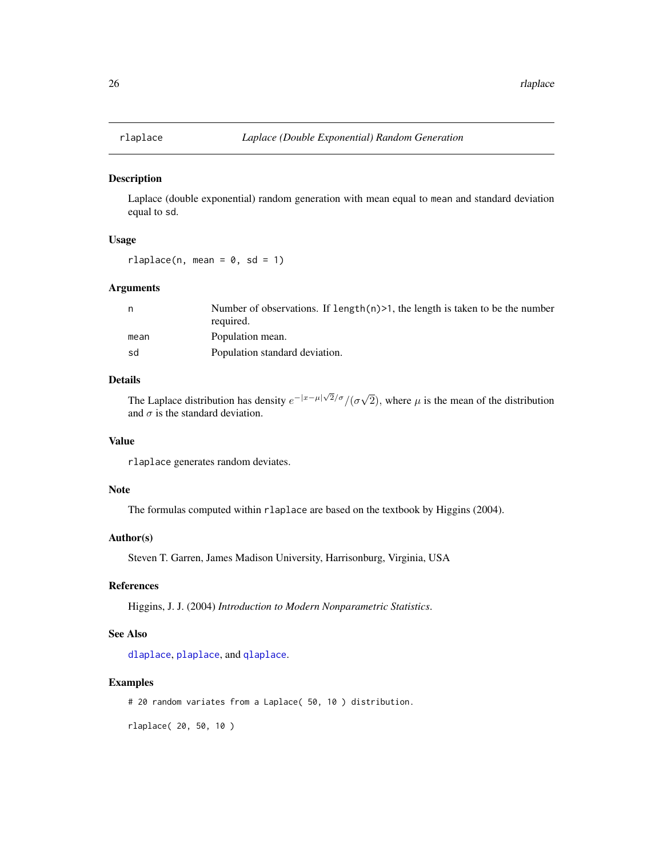<span id="page-25-1"></span><span id="page-25-0"></span>

Laplace (double exponential) random generation with mean equal to mean and standard deviation equal to sd.

#### Usage

 $rlaplace(n, mean = 0, sd = 1)$ 

#### Arguments

| Number of observations. If length $(n)$ >1, the length is taken to be the number<br>required. |
|-----------------------------------------------------------------------------------------------|
| Population mean.                                                                              |
| Population standard deviation.                                                                |
|                                                                                               |

# Details

The Laplace distribution has density  $e^{-|x-\mu|\sqrt{2}/\sigma}/(\sigma\sqrt{2})$ 2), where  $\mu$  is the mean of the distribution and  $\sigma$  is the standard deviation.

# Value

rlaplace generates random deviates.

# Note

The formulas computed within rlaplace are based on the textbook by Higgins (2004).

# Author(s)

Steven T. Garren, James Madison University, Harrisonburg, Virginia, USA

#### References

Higgins, J. J. (2004) *Introduction to Modern Nonparametric Statistics*.

# See Also

[dlaplace](#page-6-1), [plaplace](#page-15-1), and [qlaplace](#page-21-1).

#### Examples

# 20 random variates from a Laplace( 50, 10 ) distribution.

rlaplace( 20, 50, 10 )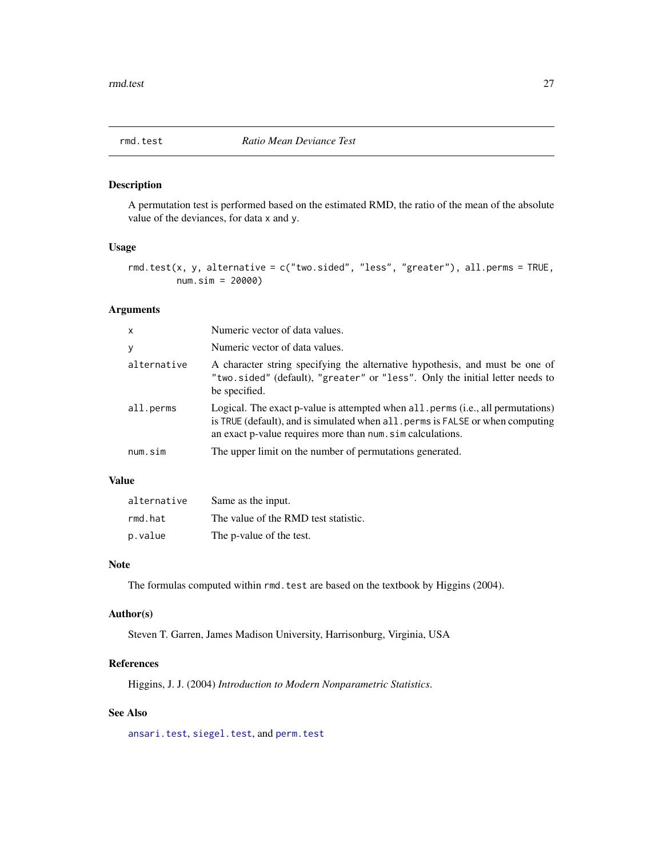<span id="page-26-1"></span><span id="page-26-0"></span>

A permutation test is performed based on the estimated RMD, the ratio of the mean of the absolute value of the deviances, for data x and y.

#### Usage

rmd.test(x, y, alternative = c("two.sided", "less", "greater"), all.perms = TRUE, num.sim = 20000)

# Arguments

| $\mathsf{x}$ | Numeric vector of data values.                                                                                                                                                                                                 |
|--------------|--------------------------------------------------------------------------------------------------------------------------------------------------------------------------------------------------------------------------------|
| y            | Numeric vector of data values.                                                                                                                                                                                                 |
| alternative  | A character string specifying the alternative hypothesis, and must be one of<br>"two.sided" (default), "greater" or "less". Only the initial letter needs to<br>be specified.                                                  |
| all.perms    | Logical. The exact p-value is attempted when all perms (i.e., all permutations)<br>is TRUE (default), and is simulated when all perms is FALSE or when computing<br>an exact p-value requires more than num. sim calculations. |
| num.sim      | The upper limit on the number of permutations generated.                                                                                                                                                                       |

#### Value

| alternative | Same as the input.                   |
|-------------|--------------------------------------|
| rmd.hat     | The value of the RMD test statistic. |
| p.value     | The p-value of the test.             |

#### Note

The formulas computed within rmd. test are based on the textbook by Higgins (2004).

# Author(s)

Steven T. Garren, James Madison University, Harrisonburg, Virginia, USA

# References

Higgins, J. J. (2004) *Introduction to Modern Nonparametric Statistics*.

# See Also

[ansari.test](#page-0-0), [siegel.test](#page-30-1), and [perm.test](#page-13-1)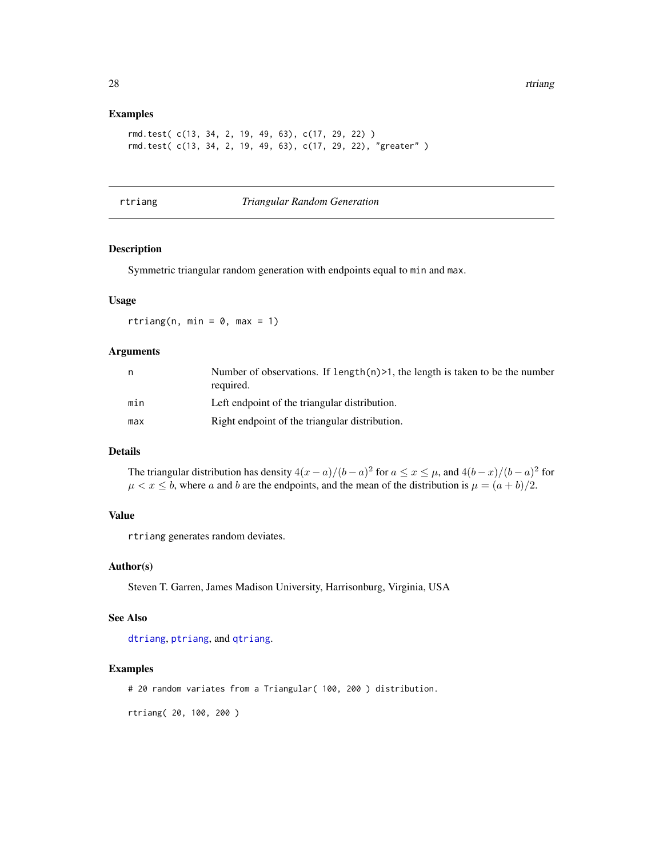#### <span id="page-27-0"></span>Examples

```
rmd.test( c(13, 34, 2, 19, 49, 63), c(17, 29, 22) )
rmd.test( c(13, 34, 2, 19, 49, 63), c(17, 29, 22), "greater" )
```
<span id="page-27-1"></span>rtriang *Triangular Random Generation*

# Description

Symmetric triangular random generation with endpoints equal to min and max.

#### Usage

rtriang(n, min =  $0$ , max = 1)

# Arguments

| n   | Number of observations. If length $(n)$ >1, the length is taken to be the number<br>required. |
|-----|-----------------------------------------------------------------------------------------------|
| min | Left endpoint of the triangular distribution.                                                 |
| max | Right endpoint of the triangular distribution.                                                |

#### Details

The triangular distribution has density  $4(x-a)/(b-a)^2$  for  $a \le x \le \mu$ , and  $4(b-x)/(b-a)^2$  for  $\mu < x \leq b$ , where a and b are the endpoints, and the mean of the distribution is  $\mu = (a + b)/2$ .

# Value

rtriang generates random deviates.

## Author(s)

Steven T. Garren, James Madison University, Harrisonburg, Virginia, USA

#### See Also

[dtriang](#page-7-1), [ptriang](#page-20-1), and [qtriang](#page-22-1).

#### Examples

# 20 random variates from a Triangular( 100, 200 ) distribution.

rtriang( 20, 100, 200 )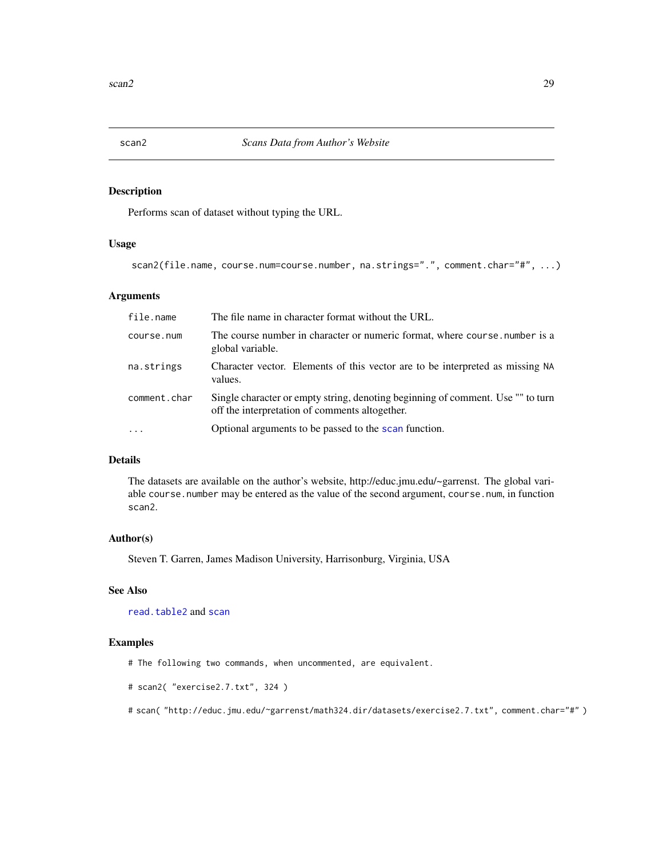<span id="page-28-1"></span><span id="page-28-0"></span>

Performs scan of dataset without typing the URL.

# Usage

```
scan2(file.name, course.num=course.number, na.strings=".", comment.char="#", ...)
```
#### Arguments

| file.name    | The file name in character format without the URL.                                                                                |
|--------------|-----------------------------------------------------------------------------------------------------------------------------------|
| course.num   | The course number in character or numeric format, where course number is a<br>global variable.                                    |
| na.strings   | Character vector. Elements of this vector are to be interpreted as missing NA<br>values.                                          |
| comment.char | Single character or empty string, denoting beginning of comment. Use "" to turn<br>off the interpretation of comments altogether. |
|              | Optional arguments to be passed to the scan function.                                                                             |

# Details

The datasets are available on the author's website, http://educ.jmu.edu/~garrenst. The global variable course.number may be entered as the value of the second argument, course.num, in function scan2.

# Author(s)

Steven T. Garren, James Madison University, Harrisonburg, Virginia, USA

#### See Also

[read.table2](#page-24-1) and [scan](#page-0-0)

# Examples

# The following two commands, when uncommented, are equivalent.

```
# scan2( "exercise2.7.txt", 324 )
```
# scan( "http://educ.jmu.edu/~garrenst/math324.dir/datasets/exercise2.7.txt", comment.char="#" )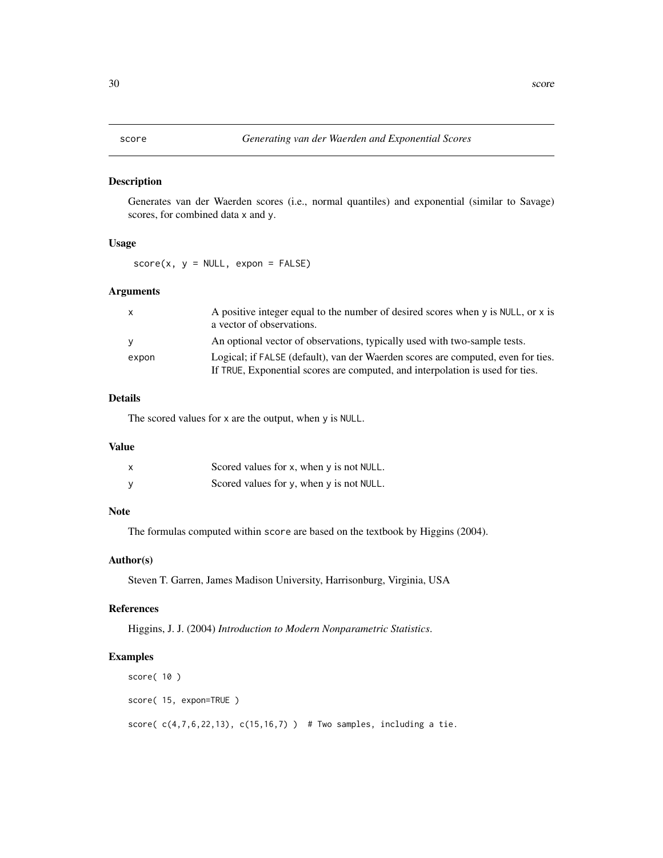<span id="page-29-1"></span><span id="page-29-0"></span>Generates van der Waerden scores (i.e., normal quantiles) and exponential (similar to Savage) scores, for combined data x and y.

#### Usage

 $score(x, y = NULL, exponent = FALSE)$ 

# Arguments

| $\mathsf{x}$ | A positive integer equal to the number of desired scores when $y$ is NULL, or $x$ is<br>a vector of observations.                                                 |
|--------------|-------------------------------------------------------------------------------------------------------------------------------------------------------------------|
| <b>V</b>     | An optional vector of observations, typically used with two-sample tests.                                                                                         |
| expon        | Logical; if FALSE (default), van der Waerden scores are computed, even for ties.<br>If TRUE, Exponential scores are computed, and interpolation is used for ties. |
|              |                                                                                                                                                                   |

# Details

The scored values for x are the output, when y is NULL.

#### Value

| x | Scored values for x, when $\gamma$ is not NULL. |
|---|-------------------------------------------------|
| V | Scored values for $y$ , when $y$ is not NULL.   |

# Note

The formulas computed within score are based on the textbook by Higgins (2004).

# Author(s)

Steven T. Garren, James Madison University, Harrisonburg, Virginia, USA

#### References

Higgins, J. J. (2004) *Introduction to Modern Nonparametric Statistics*.

#### Examples

```
score( 10 )
score( 15, expon=TRUE )
score(c(4,7,6,22,13), c(15,16,7)) # Two samples, including a tie.
```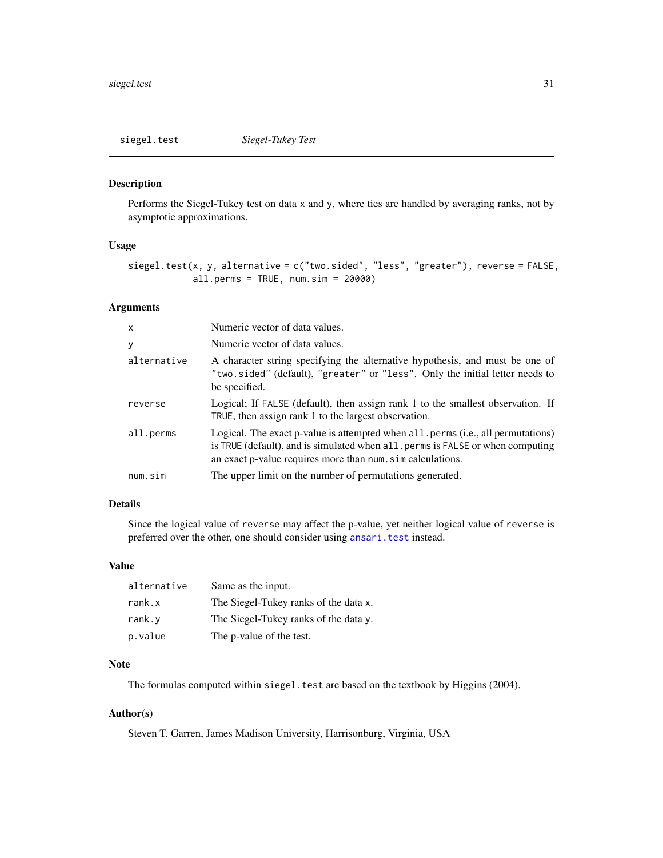<span id="page-30-1"></span><span id="page-30-0"></span>

Performs the Siegel-Tukey test on data x and y, where ties are handled by averaging ranks, not by asymptotic approximations.

#### Usage

```
siegel.test(x, y, alternative = c("two.sided", "less", "greater"), reverse = FALSE,
            all.perns = TRUE, num,sim = 20000)
```
#### Arguments

| $\mathsf{x}$ | Numeric vector of data values.                                                                                                                                                                                            |
|--------------|---------------------------------------------------------------------------------------------------------------------------------------------------------------------------------------------------------------------------|
| У            | Numeric vector of data values.                                                                                                                                                                                            |
| alternative  | A character string specifying the alternative hypothesis, and must be one of<br>"two.sided" (default), "greater" or "less". Only the initial letter needs to<br>be specified.                                             |
| reverse      | Logical; If FALSE (default), then assign rank 1 to the smallest observation. If<br>TRUE, then assign rank 1 to the largest observation.                                                                                   |
| all.perms    | Logical. The exact p-value is attempted when all perms (i.e., all permutations)<br>is TRUE (default), and is simulated when all. perms is FALSE or when computing<br>an exact p-value requires more than num simulations. |
| num.sim      | The upper limit on the number of permutations generated.                                                                                                                                                                  |

# Details

Since the logical value of reverse may affect the p-value, yet neither logical value of reverse is preferred over the other, one should consider using [ansari.test](#page-0-0) instead.

# Value

| alternative | Same as the input.                    |
|-------------|---------------------------------------|
| rank.x      | The Siegel-Tukey ranks of the data x. |
| rank. v     | The Siegel-Tukey ranks of the data y. |
| p.value     | The p-value of the test.              |

# Note

The formulas computed within siegel.test are based on the textbook by Higgins (2004).

# Author(s)

Steven T. Garren, James Madison University, Harrisonburg, Virginia, USA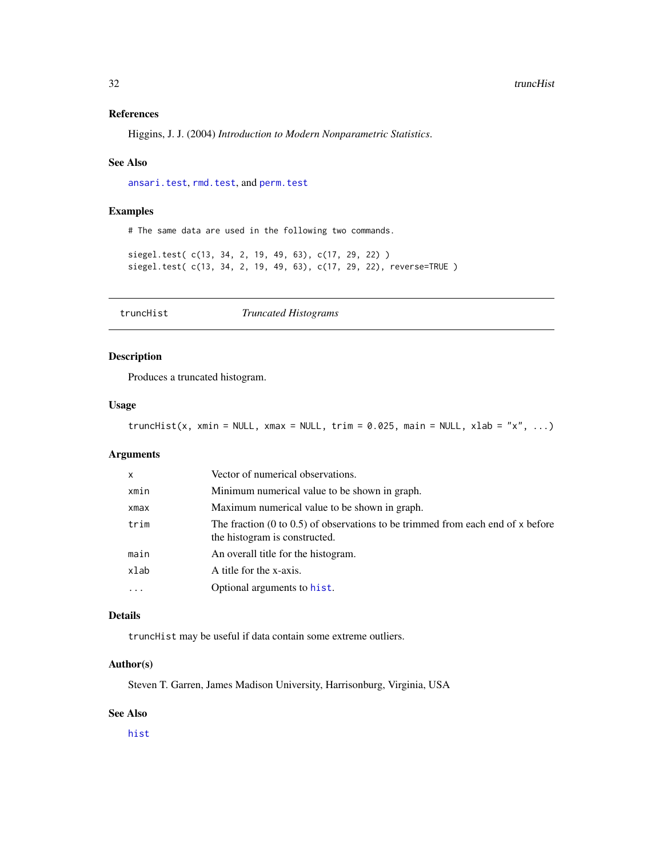# <span id="page-31-0"></span>References

Higgins, J. J. (2004) *Introduction to Modern Nonparametric Statistics*.

#### See Also

[ansari.test](#page-0-0), [rmd.test](#page-26-1), and [perm.test](#page-13-1)

#### Examples

# The same data are used in the following two commands.

siegel.test( c(13, 34, 2, 19, 49, 63), c(17, 29, 22) ) siegel.test( c(13, 34, 2, 19, 49, 63), c(17, 29, 22), reverse=TRUE )

<span id="page-31-1"></span>truncHist *Truncated Histograms*

# Description

Produces a truncated histogram.

#### Usage

truncHist(x, xmin = NULL, xmax = NULL, trim =  $0.025$ , main = NULL, xlab = "x", ...)

# Arguments

| X          | Vector of numerical observations.                                                                                           |
|------------|-----------------------------------------------------------------------------------------------------------------------------|
| xmin       | Minimum numerical value to be shown in graph.                                                                               |
| xmax       | Maximum numerical value to be shown in graph.                                                                               |
| trim       | The fraction $(0 \text{ to } 0.5)$ of observations to be trimmed from each end of x before<br>the histogram is constructed. |
| main       | An overall title for the histogram.                                                                                         |
| xlab       | A title for the x-axis.                                                                                                     |
| $\ddots$ . | Optional arguments to hist.                                                                                                 |

#### Details

truncHist may be useful if data contain some extreme outliers.

# Author(s)

Steven T. Garren, James Madison University, Harrisonburg, Virginia, USA

#### See Also

[hist](#page-0-0)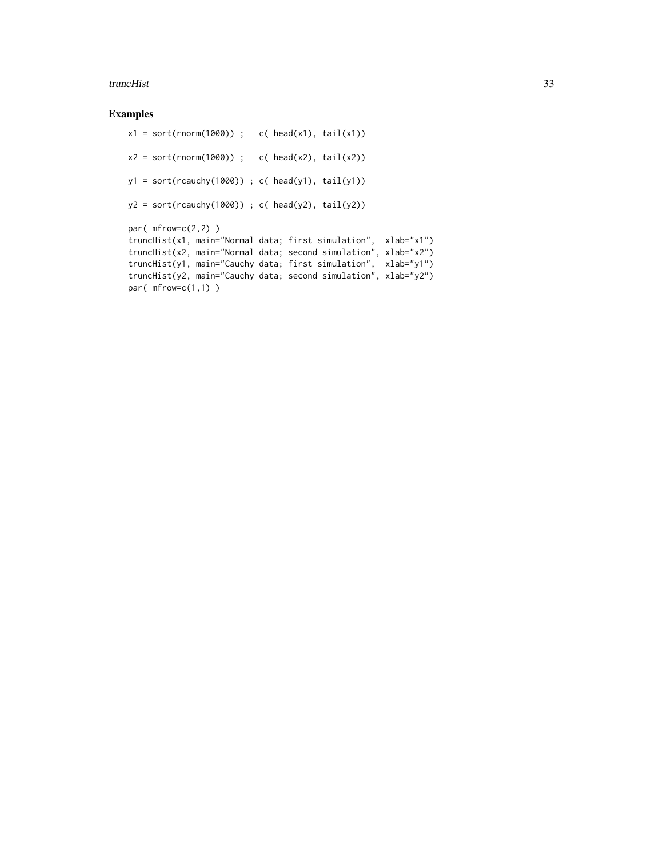#### truncHist 33

# Examples

```
x1 = sort(rnorm(1000)); c( head(x1), tail(x1))
x2 = sort(rnorm(1000)); c( head(x2), tail(x2))
y1 = sort(rcauchy(1000)); c( head(y1), tail(y1))
y2 = sort(rcauchy(1000)); c( head(y2), tail(y2))
par(mfrow=c(2,2))
truncHist(x1, main="Normal data; first simulation", xlab="x1")
truncHist(x2, main="Normal data; second simulation", xlab="x2")
truncHist(y1, main="Cauchy data; first simulation", xlab="y1")
truncHist(y2, main="Cauchy data; second simulation", xlab="y2")
par(mfrow=c(1,1))
```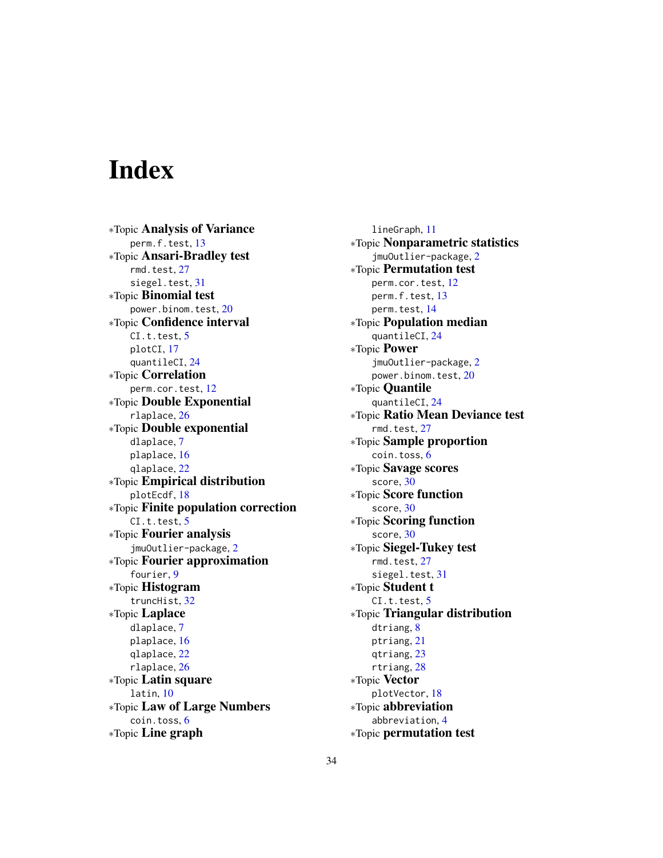# <span id="page-33-0"></span>**Index**

∗Topic Analysis of Variance perm.f.test, [13](#page-12-0) ∗Topic Ansari-Bradley test rmd.test, [27](#page-26-0) siegel.test, [31](#page-30-0) ∗Topic Binomial test power.binom.test, [20](#page-19-0) ∗Topic Confidence interval CI.t.test, [5](#page-4-0) plotCI, [17](#page-16-0) quantileCI, [24](#page-23-0) ∗Topic Correlation perm.cor.test, [12](#page-11-0) ∗Topic Double Exponential rlaplace, [26](#page-25-0) ∗Topic Double exponential dlaplace, [7](#page-6-0) plaplace, [16](#page-15-0) qlaplace, [22](#page-21-0) ∗Topic Empirical distribution plotEcdf, [18](#page-17-0) ∗Topic Finite population correction  $CI.t. test, 5$  $CI.t. test, 5$ ∗Topic Fourier analysis jmuOutlier-package, [2](#page-1-0) ∗Topic Fourier approximation fourier, [9](#page-8-0) ∗Topic Histogram truncHist, [32](#page-31-0) ∗Topic Laplace dlaplace, [7](#page-6-0) plaplace, [16](#page-15-0) qlaplace, [22](#page-21-0) rlaplace, [26](#page-25-0) ∗Topic Latin square latin, [10](#page-9-0) ∗Topic Law of Large Numbers coin.toss, [6](#page-5-0) ∗Topic Line graph

lineGraph, [11](#page-10-0) ∗Topic Nonparametric statistics jmuOutlier-package, [2](#page-1-0) ∗Topic Permutation test perm.cor.test, [12](#page-11-0) perm.f.test, [13](#page-12-0) perm.test, [14](#page-13-0) ∗Topic Population median quantileCI, [24](#page-23-0) ∗Topic Power jmuOutlier-package, [2](#page-1-0) power.binom.test, [20](#page-19-0) ∗Topic Quantile quantileCI, [24](#page-23-0) ∗Topic Ratio Mean Deviance test rmd.test, [27](#page-26-0) ∗Topic Sample proportion coin.toss, [6](#page-5-0) ∗Topic Savage scores score, [30](#page-29-0) ∗Topic Score function score, [30](#page-29-0) ∗Topic Scoring function score, [30](#page-29-0) ∗Topic Siegel-Tukey test rmd.test, [27](#page-26-0) siegel.test, [31](#page-30-0) ∗Topic Student t  $CI.t. test. 5$  $CI.t. test. 5$ ∗Topic Triangular distribution dtriang, [8](#page-7-0) ptriang, [21](#page-20-0) qtriang, [23](#page-22-0) rtriang, [28](#page-27-0) ∗Topic Vector plotVector, [18](#page-17-0) ∗Topic abbreviation abbreviation, [4](#page-3-0) ∗Topic permutation test